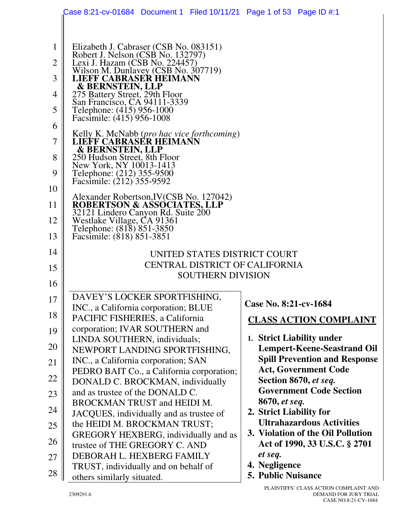|             | Case 8:21-cv-01684 Document 1 Filed $10/11/21$ Page 1 of 53 Page ID #:1      |                                                                       |
|-------------|------------------------------------------------------------------------------|-----------------------------------------------------------------------|
|             |                                                                              |                                                                       |
| $\mathbf 1$ | Elizabeth J. Cabraser (CSB No. 083151)<br>Robert J. Nelson (CSB No. 132797)  |                                                                       |
| 2           | Lexi J. Hazam (CSB No. 224457)                                               |                                                                       |
| 3           | Wilson M. Dunlavey (CSB No. 307719)<br>LIEFF CABRASER HEIMANN                |                                                                       |
| 4           | & BERNSTEIN, LLP<br>275 Battery Street, 29th Floor                           |                                                                       |
|             | San Francisco, CA 94111-3339                                                 |                                                                       |
| 5           | Telephone: (415) 956-1000<br>Facsimile: (415) 956-1008                       |                                                                       |
| 6           |                                                                              |                                                                       |
| 7           | Kelly K. McNabb (pro hac vice forthcoming)<br>LIEFF CABRASER HEIMANN         |                                                                       |
| 8           | & BERNSTEIN, LLP<br>250 Hudson Street, 8th Floor                             |                                                                       |
| 9           | New York, NY 10013-1413<br>Telephone: (212) 355-9500                         |                                                                       |
| 10          | Facsimile: (212) 355-9592                                                    |                                                                       |
|             | Alexander Robertson, IV(CSB No. 127042)                                      |                                                                       |
| 11          | <b>ROBERTSON &amp; ASSOCIATES, LLP</b><br>32121 Lindero Canyon Rd. Suite 200 |                                                                       |
| 12          | Westlake Village, CA 91361<br>Telephone: (818) 851-3850                      |                                                                       |
| 13          | Facsimile: (818) 851-3851                                                    |                                                                       |
| 14          | UNITED STATES DISTRICT COURT                                                 |                                                                       |
| 15          | <b>CENTRAL DISTRICT OF CALIFORNIA</b>                                        |                                                                       |
| 16          | <b>SOUTHERN DIVISION</b>                                                     |                                                                       |
|             | DAVEY'S LOCKER SPORTFISHING,                                                 |                                                                       |
| 17          | INC., a California corporation; BLUE                                         | Case No. 8:21-cv-1684                                                 |
| 18          | PACIFIC FISHERIES, a California                                              | <b>CLASS ACTION COMPLAINT</b>                                         |
| 19          | corporation; IVAR SOUTHERN and                                               | 1. Strict Liability under                                             |
| 20          | LINDA SOUTHERN, individuals;<br>NEWPORT LANDING SPORTFISHING,                | <b>Lempert-Keene-Seastrand Oil</b>                                    |
| 21          | INC., a California corporation; SAN                                          | <b>Spill Prevention and Response</b>                                  |
| 22          | PEDRO BAIT Co., a California corporation;                                    | <b>Act, Government Code</b>                                           |
|             | DONALD C. BROCKMAN, individually<br>and as trustee of the DONALD C.          | Section 8670, et seq.<br><b>Government Code Section</b>               |
| 23          | <b>BROCKMAN TRUST and HEIDI M.</b>                                           | 8670, et seq.                                                         |
| 24          | JACQUES, individually and as trustee of                                      | 2. Strict Liability for                                               |
| 25          | the HEIDI M. BROCKMAN TRUST;                                                 | <b>Ultrahazardous Activities</b><br>3. Violation of the Oil Pollution |
| 26          | GREGORY HEXBERG, individually and as<br>trustee of THE GREGORY C. AND        | Act of 1990, 33 U.S.C. § 2701                                         |
| 27          | DEBORAH L. HEXBERG FAMILY                                                    | et seq.                                                               |
|             | TRUST, individually and on behalf of                                         | 4. Negligence                                                         |
| 28          | others similarly situated.                                                   | <b>5. Public Nuisance</b>                                             |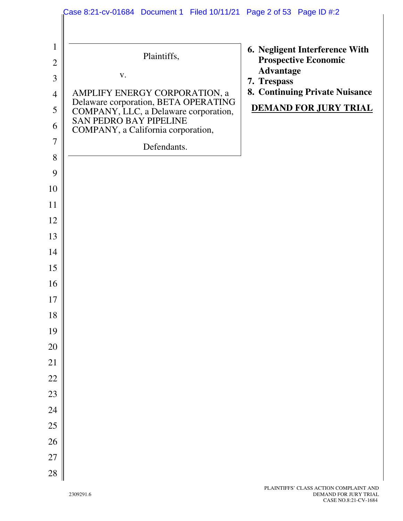|                                | Case 8:21-cv-01684 Document 1 Filed 10/11/21 Page 2 of 53 Page ID #:2                                 |                                                               |
|--------------------------------|-------------------------------------------------------------------------------------------------------|---------------------------------------------------------------|
|                                |                                                                                                       |                                                               |
| $\mathbf{1}$<br>$\overline{2}$ | Plaintiffs,                                                                                           | 6. Negligent Interference With<br><b>Prospective Economic</b> |
| 3                              | V.                                                                                                    | <b>Advantage</b><br>7. Trespass                               |
| $\overline{4}$                 | AMPLIFY ENERGY CORPORATION, a                                                                         | 8. Continuing Private Nuisance                                |
| 5                              | Delaware corporation, BETA OPERATING                                                                  | <b>DEMAND FOR JURY TRIAL</b>                                  |
| 6                              | COMPANY, LLC, a Delaware corporation,<br>SAN PEDRO BAY PIPELINE<br>COMPANY, a California corporation, |                                                               |
| 7                              | Defendants.                                                                                           |                                                               |
| 8                              |                                                                                                       |                                                               |
| 9                              |                                                                                                       |                                                               |
| 10                             |                                                                                                       |                                                               |
| 11                             |                                                                                                       |                                                               |
| 12                             |                                                                                                       |                                                               |
| 13                             |                                                                                                       |                                                               |
| 14                             |                                                                                                       |                                                               |
| 15                             |                                                                                                       |                                                               |
| 16                             |                                                                                                       |                                                               |
| 17                             |                                                                                                       |                                                               |
| 18<br>19                       |                                                                                                       |                                                               |
| 20                             |                                                                                                       |                                                               |
| 21                             |                                                                                                       |                                                               |
| 22                             |                                                                                                       |                                                               |
| 23                             |                                                                                                       |                                                               |
| 24                             |                                                                                                       |                                                               |
| 25                             |                                                                                                       |                                                               |
| 26                             |                                                                                                       |                                                               |
| 27                             |                                                                                                       |                                                               |
| 28                             |                                                                                                       |                                                               |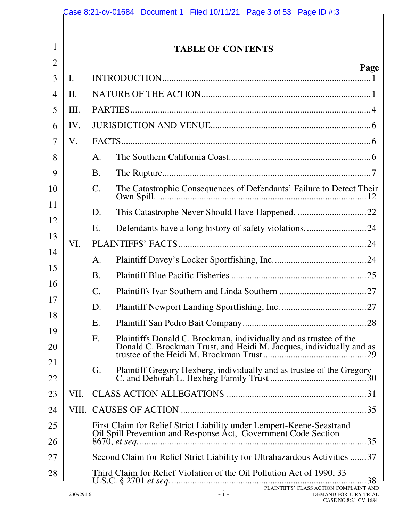|                |           | Case 8:21-cv-01684 Document 1 Filed 10/11/21 Page 3 of 53 Page ID #:3                                                                   |
|----------------|-----------|-----------------------------------------------------------------------------------------------------------------------------------------|
|                |           |                                                                                                                                         |
| 1              |           | <b>TABLE OF CONTENTS</b>                                                                                                                |
| 2              |           | Page                                                                                                                                    |
| 3              | I.        |                                                                                                                                         |
| $\overline{4}$ | Π.        |                                                                                                                                         |
| 5              | Ш.        |                                                                                                                                         |
| 6              | IV.       |                                                                                                                                         |
| 7              | V.        |                                                                                                                                         |
| 8              |           | A.                                                                                                                                      |
| 9              |           | <b>B.</b>                                                                                                                               |
| 10             |           | C.<br>The Catastrophic Consequences of Defendants' Failure to Detect Their                                                              |
| 11             |           | D.                                                                                                                                      |
| 12             |           | Defendants have a long history of safety violations24<br>E.                                                                             |
| 13             | VI.       |                                                                                                                                         |
| 14             |           | A.                                                                                                                                      |
| 15             |           | <b>B.</b>                                                                                                                               |
| 16             |           | C.                                                                                                                                      |
| 17             |           | D.                                                                                                                                      |
| 18             |           | Ε.                                                                                                                                      |
| 19             |           | F.<br>Plaintiffs Donald C. Brockman, individually and as trustee of the                                                                 |
| <b>20</b>      |           |                                                                                                                                         |
| 21             |           | Plaintiff Gregory Hexberg, individually and as trustee of the Gregory<br>G.                                                             |
| 22             |           |                                                                                                                                         |
| 23             | VII.      |                                                                                                                                         |
| 24             |           |                                                                                                                                         |
| 25<br>26       |           | First Claim for Relief Strict Liability under Lempert-Keene-Seastrand<br>Oil Spill Prevention and Response Act, Government Code Section |
| 27             |           | Second Claim for Relief Strict Liability for Ultrahazardous Activities 37                                                               |
| 28             |           | Third Claim for Relief Violation of the Oil Pollution Act of 1990, 33                                                                   |
|                | 2309291.6 | $-i -$<br>DEMAND FOR JURY TRIAL                                                                                                         |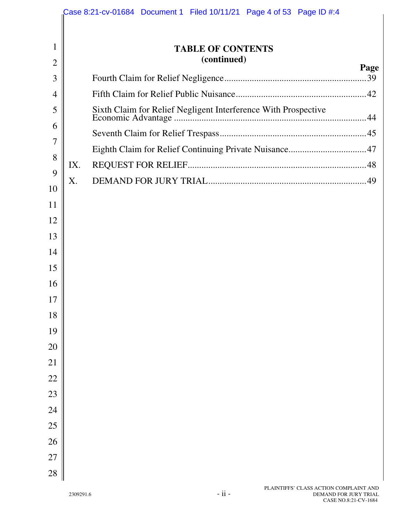|                                |     | Case 8:21-cv-01684 Document 1 Filed 10/11/21 Page 4 of 53 Page ID #:4 |
|--------------------------------|-----|-----------------------------------------------------------------------|
| $\mathbf{1}$<br>$\overline{2}$ |     | <b>TABLE OF CONTENTS</b><br>(continued)                               |
| 3                              |     | Page                                                                  |
| 4                              |     |                                                                       |
| 5                              |     | Sixth Claim for Relief Negligent Interference With Prospective        |
| 6                              |     |                                                                       |
| 7                              |     |                                                                       |
| 8                              |     |                                                                       |
| 9                              | IX. |                                                                       |
| 10                             | Χ.  |                                                                       |
| 11                             |     |                                                                       |
| 12                             |     |                                                                       |
| 13                             |     |                                                                       |
| 14                             |     |                                                                       |
| 15                             |     |                                                                       |
| 16                             |     |                                                                       |
| 17                             |     |                                                                       |
| 18                             |     |                                                                       |
| 19                             |     |                                                                       |
| 20                             |     |                                                                       |
| 21                             |     |                                                                       |
| 22                             |     |                                                                       |
| 23                             |     |                                                                       |
| 24                             |     |                                                                       |
| 25                             |     |                                                                       |
| 26                             |     |                                                                       |
| 27                             |     |                                                                       |
| 28                             |     |                                                                       |
|                                |     |                                                                       |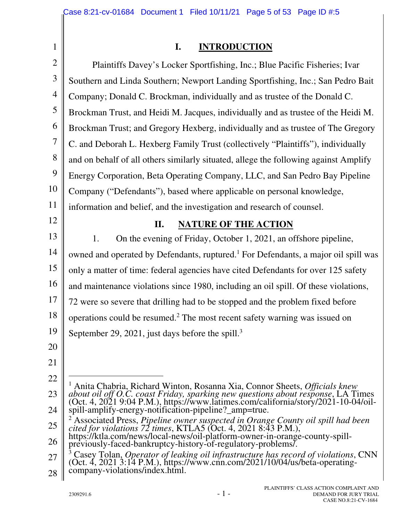# **I. INTRODUCTION**

2 3 4 5 6 7 8 9 10 11 12 13 14 15 16 17 18 Plaintiffs Davey's Locker Sportfishing, Inc.; Blue Pacific Fisheries; Ivar Southern and Linda Southern; Newport Landing Sportfishing, Inc.; San Pedro Bait Company; Donald C. Brockman, individually and as trustee of the Donald C. Brockman Trust, and Heidi M. Jacques, individually and as trustee of the Heidi M. Brockman Trust; and Gregory Hexberg, individually and as trustee of The Gregory C. and Deborah L. Hexberg Family Trust (collectively "Plaintiffs"), individually and on behalf of all others similarly situated, allege the following against Amplify Energy Corporation, Beta Operating Company, LLC, and San Pedro Bay Pipeline Company ("Defendants"), based where applicable on personal knowledge, information and belief, and the investigation and research of counsel. **II. NATURE OF THE ACTION**  1. On the evening of Friday, October 1, 2021, an offshore pipeline, owned and operated by Defendants, ruptured.<sup>1</sup> For Defendants, a major oil spill was only a matter of time: federal agencies have cited Defendants for over 125 safety and maintenance violations since 1980, including an oil spill. Of these violations, 72 were so severe that drilling had to be stopped and the problem fixed before operations could be resumed.<sup>2</sup> The most recent safety warning was issued on

19 20

1

21 22

 $\overline{a}$ 

23 24 1 Anita Chabria, Richard Winton, Rosanna Xia, Connor Sheets, *Officials knew about oil off O.C. coast Friday, sparking new questions about response*, LA Times (Oct. 4, 2021 9:04 P.M.), https://www.latimes.com/california/story/2021-10-04/oilspill-amplify-energy-notification-pipeline?\_amp=true.

25 2 Associated Press, *Pipeline owner suspected in Orange County oil spill had been cited for violations 72 times*, KTLA5 (Oct. 4, 2021 8:43 P.M.),

September 29, 2021, just days before the spill.<sup>3</sup>

<sup>26</sup>  https://ktla.com/news/local-news/oil-platform-owner-in-orange-county-spillpreviously-faced-bankruptcy-history-of-regulatory-problems/.

<sup>27</sup>  3 Casey Tolan, *Operator of leaking oil infrastructure has record of violations*, CNN (Oct. 4, 2021 3:14 P.M.), https://www.cnn.com/2021/10/04/us/beta-operating-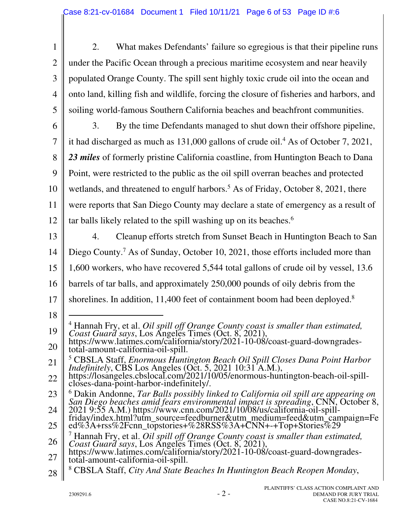| $\mathbf{1}$   | What makes Defendants' failure so egregious is that their pipeline runs<br>2.                                                                                        |
|----------------|----------------------------------------------------------------------------------------------------------------------------------------------------------------------|
| $\overline{2}$ | under the Pacific Ocean through a precious maritime ecosystem and near heavily                                                                                       |
| 3              | populated Orange County. The spill sent highly toxic crude oil into the ocean and                                                                                    |
| $\overline{4}$ | onto land, killing fish and wildlife, forcing the closure of fisheries and harbors, and                                                                              |
| 5              | soiling world-famous Southern California beaches and beachfront communities.                                                                                         |
| 6              | 3.<br>By the time Defendants managed to shut down their offshore pipeline,                                                                                           |
| 7              | it had discharged as much as 131,000 gallons of crude oil. <sup>4</sup> As of October 7, 2021,                                                                       |
| 8              | 23 miles of formerly pristine California coastline, from Huntington Beach to Dana                                                                                    |
| 9              | Point, were restricted to the public as the oil spill overran beaches and protected                                                                                  |
| 10             | wetlands, and threatened to engulf harbors. <sup>5</sup> As of Friday, October 8, 2021, there                                                                        |
| 11             | were reports that San Diego County may declare a state of emergency as a result of                                                                                   |
| 12             | tar balls likely related to the spill washing up on its beaches. <sup>6</sup>                                                                                        |
| 13             | Cleanup efforts stretch from Sunset Beach in Huntington Beach to San<br>4.                                                                                           |
| 14             | Diego County. <sup>7</sup> As of Sunday, October 10, 2021, those efforts included more than                                                                          |
| 15             | 1,600 workers, who have recovered 5,544 total gallons of crude oil by vessel, 13.6                                                                                   |
| 16             | barrels of tar balls, and approximately 250,000 pounds of oily debris from the                                                                                       |
| 17             | shorelines. In addition, 11,400 feet of containment boom had been deployed. <sup>8</sup>                                                                             |
| 18             |                                                                                                                                                                      |
| 19             | Hannah Fry, et al. Oil spill off Orange County coast is smaller than estimated,<br>Coast Guard says, Los Angeles Times (Oct. 8, 2021),                               |
| 20             | https://www.latimes.com/california/story/2021-10-08/coast-guard-downgrades-<br>total-amount-california-oil-spill.                                                    |
| 21             | <sup>5</sup> CBSLA Staff, <i>Enormous Huntington Beach Oil Spill Closes Dana Point Harbor Indefinitely</i> , CBS Los Angeles (Oct. 5, 2021 10:31 A.M.),              |
| 22             | https://losangeles.cbslocal.com/2021/10/05/enormous-huntington-beach-oil-spill-<br>closes-dana-point-harbor-indefinitely/.                                           |
| 23             | Dakin Andonne, Tar Balls possibly linked to California oil spill are appearing on<br>San Diego beaches amid fears environmental impact is spreading, CNN, October 8, |
| 24             | 2021 9:55 A.M.) https://www.cnn.com/2021/10/08/us/california-oil-spill-<br>friday/index.html?utm_source=feedburner&utm_medium=feed&utm_campaign=Fe                   |
| 25             | ed%3A+rss%2Fcnn_topstories+%28RSS%3A+CNN+-+Top+Stories%29                                                                                                            |
| 26             | Hannah Fry, et al. Oil spill off Orange County coast is smaller than estimated,<br>Coast Guard says, Los Angeles Times (Oct. 8, 2021),                               |
| 27             | https://www.latimes.com/california/story/2021-10-08/coast-guard-downgrades-<br>total-amount-california-oil-spill.                                                    |
| 28             | CBSLA Staff, City And State Beaches In Huntington Beach Reopen Monday,                                                                                               |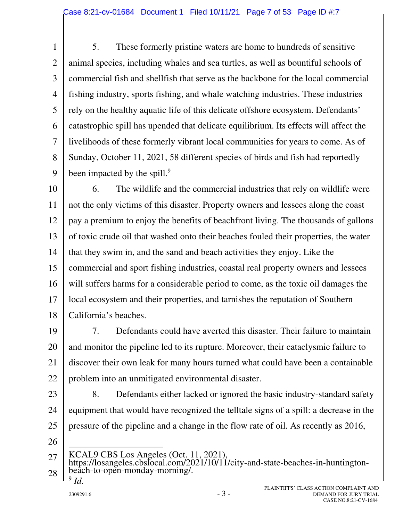1 2 3 4 5 6 7 8 9 5. These formerly pristine waters are home to hundreds of sensitive animal species, including whales and sea turtles, as well as bountiful schools of commercial fish and shellfish that serve as the backbone for the local commercial fishing industry, sports fishing, and whale watching industries. These industries rely on the healthy aquatic life of this delicate offshore ecosystem. Defendants' catastrophic spill has upended that delicate equilibrium. Its effects will affect the livelihoods of these formerly vibrant local communities for years to come. As of Sunday, October 11, 2021, 58 different species of birds and fish had reportedly been impacted by the spill.<sup>9</sup>

10 11 12 13 14 15 16 17 18 6. The wildlife and the commercial industries that rely on wildlife were not the only victims of this disaster. Property owners and lessees along the coast pay a premium to enjoy the benefits of beachfront living. The thousands of gallons of toxic crude oil that washed onto their beaches fouled their properties, the water that they swim in, and the sand and beach activities they enjoy. Like the commercial and sport fishing industries, coastal real property owners and lessees will suffers harms for a considerable period to come, as the toxic oil damages the local ecosystem and their properties, and tarnishes the reputation of Southern California's beaches.

19 20 21 22 7. Defendants could have averted this disaster. Their failure to maintain and monitor the pipeline led to its rupture. Moreover, their cataclysmic failure to discover their own leak for many hours turned what could have been a containable problem into an unmitigated environmental disaster.

- 23 24 25 8. Defendants either lacked or ignored the basic industry-standard safety equipment that would have recognized the telltale signs of a spill: a decrease in the pressure of the pipeline and a change in the flow rate of oil. As recently as 2016,
- 26

 $\overline{a}$ KCAL9 CBS Los Angeles (Oct. 11, 2021),

27 28 https://losangeles.cbslocal.com/2021/10/11/city-and-state-beaches-in-huntingtonbeach-to-open-monday-morning/. 9 *Id.*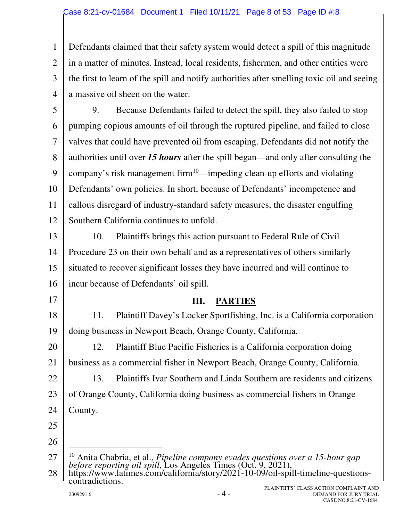1 2 3 4 Defendants claimed that their safety system would detect a spill of this magnitude in a matter of minutes. Instead, local residents, fishermen, and other entities were the first to learn of the spill and notify authorities after smelling toxic oil and seeing a massive oil sheen on the water.

5 6 7 8 9 10 11 12 9. Because Defendants failed to detect the spill, they also failed to stop pumping copious amounts of oil through the ruptured pipeline, and failed to close valves that could have prevented oil from escaping. Defendants did not notify the authorities until over *15 hours* after the spill began—and only after consulting the company's risk management firm $10$ —impeding clean-up efforts and violating Defendants' own policies. In short, because of Defendants' incompetence and callous disregard of industry-standard safety measures, the disaster engulfing Southern California continues to unfold.

13 14 15 16 10. Plaintiffs brings this action pursuant to Federal Rule of Civil Procedure 23 on their own behalf and as a representatives of others similarly situated to recover significant losses they have incurred and will continue to incur because of Defendants' oil spill.

## **III. PARTIES**

18 19 11. Plaintiff Davey's Locker Sportfishing, Inc. is a California corporation doing business in Newport Beach, Orange County, California.

12. Plaintiff Blue Pacific Fisheries is a California corporation doing

21 business as a commercial fisher in Newport Beach, Orange County, California.

22 23 24 13. Plaintiffs Ivar Southern and Linda Southern are residents and citizens of Orange County, California doing business as commercial fishers in Orange County.

25

17

20

26

 $\overline{a}$ 

<sup>27</sup>  <sup>10</sup> Anita Chabria, et al., *Pipeline company evades questions over a 15-hour gap before reporting oil spill*, Los Angeles Times (Oct. 9, 2021),

<sup>28</sup>  https://www.latimes.com/california/story/2021-10-09/oil-spill-timeline-questionscontradictions.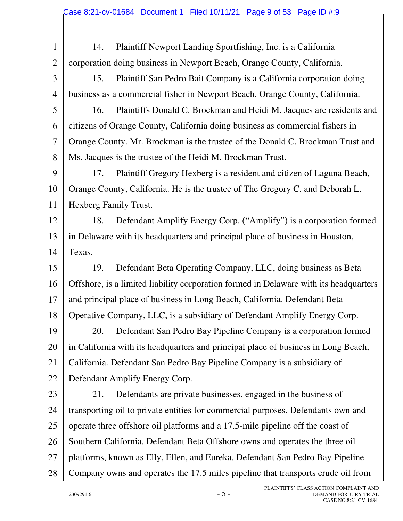14. Plaintiff Newport Landing Sportfishing, Inc. is a California corporation doing business in Newport Beach, Orange County, California.

15. Plaintiff San Pedro Bait Company is a California corporation doing business as a commercial fisher in Newport Beach, Orange County, California.

5 6 7 8 16. Plaintiffs Donald C. Brockman and Heidi M. Jacques are residents and citizens of Orange County, California doing business as commercial fishers in Orange County. Mr. Brockman is the trustee of the Donald C. Brockman Trust and Ms. Jacques is the trustee of the Heidi M. Brockman Trust.

9 10 11 17. Plaintiff Gregory Hexberg is a resident and citizen of Laguna Beach, Orange County, California. He is the trustee of The Gregory C. and Deborah L. Hexberg Family Trust.

12 13 14 18. Defendant Amplify Energy Corp. ("Amplify") is a corporation formed in Delaware with its headquarters and principal place of business in Houston, Texas.

15 16 17 18 19. Defendant Beta Operating Company, LLC, doing business as Beta Offshore, is a limited liability corporation formed in Delaware with its headquarters and principal place of business in Long Beach, California. Defendant Beta Operative Company, LLC, is a subsidiary of Defendant Amplify Energy Corp.

19 20 21 22 20. Defendant San Pedro Bay Pipeline Company is a corporation formed in California with its headquarters and principal place of business in Long Beach, California. Defendant San Pedro Bay Pipeline Company is a subsidiary of Defendant Amplify Energy Corp.

23

1

2

3

4

24 25 26 27 28 21. Defendants are private businesses, engaged in the business of transporting oil to private entities for commercial purposes. Defendants own and operate three offshore oil platforms and a 17.5-mile pipeline off the coast of Southern California. Defendant Beta Offshore owns and operates the three oil platforms, known as Elly, Ellen, and Eureka. Defendant San Pedro Bay Pipeline Company owns and operates the 17.5 miles pipeline that transports crude oil from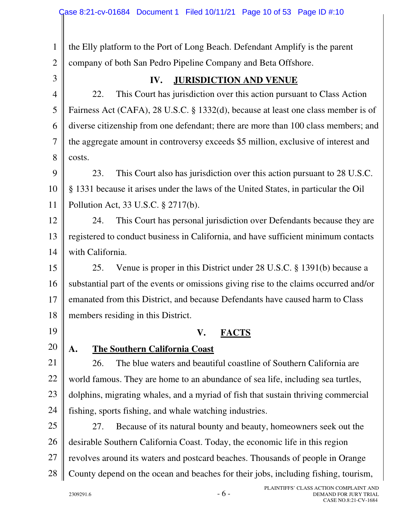1 2 the Elly platform to the Port of Long Beach. Defendant Amplify is the parent company of both San Pedro Pipeline Company and Beta Offshore.

3

5

6

7

8

## **IV. JURISDICTION AND VENUE**

4 22. This Court has jurisdiction over this action pursuant to Class Action Fairness Act (CAFA), 28 U.S.C. § 1332(d), because at least one class member is of diverse citizenship from one defendant; there are more than 100 class members; and the aggregate amount in controversy exceeds \$5 million, exclusive of interest and costs.

9 10 11 23. This Court also has jurisdiction over this action pursuant to 28 U.S.C. § 1331 because it arises under the laws of the United States, in particular the Oil Pollution Act, 33 U.S.C. § 2717(b).

12 13 14 24. This Court has personal jurisdiction over Defendants because they are registered to conduct business in California, and have sufficient minimum contacts with California.

15 16 17 18 25. Venue is proper in this District under 28 U.S.C. § 1391(b) because a substantial part of the events or omissions giving rise to the claims occurred and/or emanated from this District, and because Defendants have caused harm to Class members residing in this District.

19

20

## **V. FACTS**

# **A. The Southern California Coast**

21 22 23 24 26. The blue waters and beautiful coastline of Southern California are world famous. They are home to an abundance of sea life, including sea turtles, dolphins, migrating whales, and a myriad of fish that sustain thriving commercial fishing, sports fishing, and whale watching industries.

25 26 27 28 27. Because of its natural bounty and beauty, homeowners seek out the desirable Southern California Coast. Today, the economic life in this region revolves around its waters and postcard beaches. Thousands of people in Orange County depend on the ocean and beaches for their jobs, including fishing, tourism,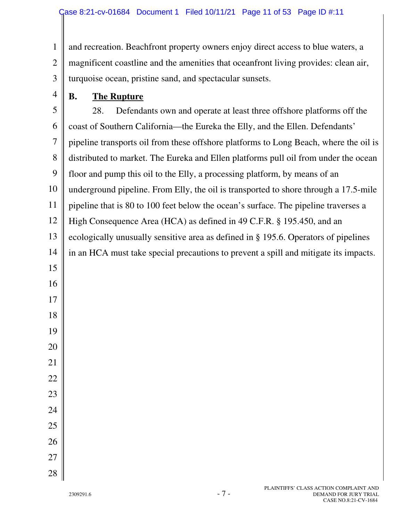1 2 3 and recreation. Beachfront property owners enjoy direct access to blue waters, a magnificent coastline and the amenities that oceanfront living provides: clean air, turquoise ocean, pristine sand, and spectacular sunsets.

4

## **B. The Rupture**

5 6 7 8 9 10 11 12 13 14 15 16 17 18 19 20 21 22 23 24 25 26 27 28 28. Defendants own and operate at least three offshore platforms off the coast of Southern California—the Eureka the Elly, and the Ellen. Defendants' pipeline transports oil from these offshore platforms to Long Beach, where the oil is distributed to market. The Eureka and Ellen platforms pull oil from under the ocean floor and pump this oil to the Elly, a processing platform, by means of an underground pipeline. From Elly, the oil is transported to shore through a 17.5-mile pipeline that is 80 to 100 feet below the ocean's surface. The pipeline traverses a High Consequence Area (HCA) as defined in 49 C.F.R. § 195.450, and an ecologically unusually sensitive area as defined in § 195.6. Operators of pipelines in an HCA must take special precautions to prevent a spill and mitigate its impacts.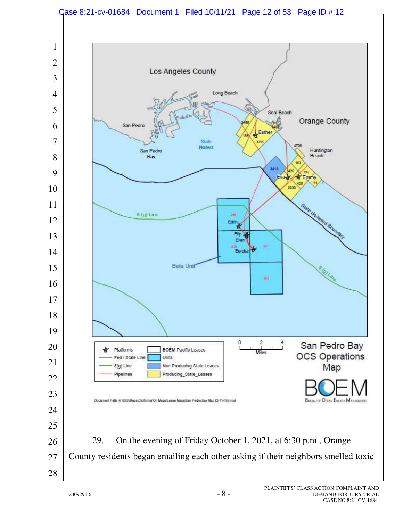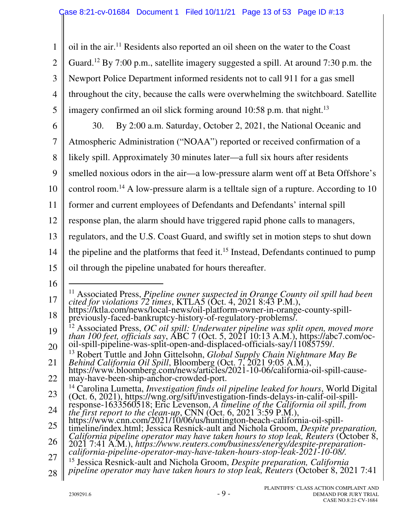| 1              | oil in the air. <sup>11</sup> Residents also reported an oil sheen on the water to the Coast                                                                                                                                         |
|----------------|--------------------------------------------------------------------------------------------------------------------------------------------------------------------------------------------------------------------------------------|
| $\overline{2}$ | Guard. <sup>12</sup> By 7:00 p.m., satellite imagery suggested a spill. At around 7:30 p.m. the                                                                                                                                      |
| 3              | Newport Police Department informed residents not to call 911 for a gas smell                                                                                                                                                         |
| $\overline{4}$ | throughout the city, because the calls were overwhelming the switchboard. Satellite                                                                                                                                                  |
| 5              | imagery confirmed an oil slick forming around 10:58 p.m. that night. <sup>13</sup>                                                                                                                                                   |
| 6              | By 2:00 a.m. Saturday, October 2, 2021, the National Oceanic and<br>30.                                                                                                                                                              |
| $\overline{7}$ | Atmospheric Administration ("NOAA") reported or received confirmation of a                                                                                                                                                           |
| 8              | likely spill. Approximately 30 minutes later—a full six hours after residents                                                                                                                                                        |
| 9              | smelled noxious odors in the air—a low-pressure alarm went off at Beta Offshore's                                                                                                                                                    |
| 10             | control room. <sup>14</sup> A low-pressure alarm is a telltale sign of a rupture. According to 10                                                                                                                                    |
| 11             | former and current employees of Defendants and Defendants' internal spill                                                                                                                                                            |
| 12             | response plan, the alarm should have triggered rapid phone calls to managers,                                                                                                                                                        |
| 13             | regulators, and the U.S. Coast Guard, and swiftly set in motion steps to shut down                                                                                                                                                   |
| 14             | the pipeline and the platforms that feed it. <sup>15</sup> Instead, Defendants continued to pump                                                                                                                                     |
| 15             | oil through the pipeline unabated for hours thereafter.                                                                                                                                                                              |
| 16             |                                                                                                                                                                                                                                      |
| 17             |                                                                                                                                                                                                                                      |
| 18             | $^{11}$ Associated Press, <i>Pipeline owner suspected in Orange County oil spill had been cited for violations 72 times, KTLA5 (Oct. 4, 2021 8:43 P.M.), https://ktla.com/news/local-news/oil-platform-owner-in-orange-county-sp</i> |
| 19             | Associated Press, OC oil spill: Underwater pipeline was split open, moved more<br>than 100 feet, officials say, ABC 7 (Oct. 5, 2021 10:13 A.M.), https://abc7.com/oc-                                                                |
| 20             | oil-spill-pipeline-was-split-open-and-displaced-officials-say/11085759/.                                                                                                                                                             |
| 21             | <sup>13</sup> Robert Tuttle and John Gittelsohn, <i>Global Supply Chain Nightmare May Be</i><br>Behind California Oil Spill, Bloomberg (Oct. 7, 2021 9:05 A.M.),                                                                     |
| 22             | https://www.bloomberg.com/news/articles/2021-10-06/california-oil-spill-cause-<br>may-have-been-ship-anchor-crowded-port.                                                                                                            |
| 23             | <sup>14</sup> Carolina Lumetta, <i>Investigation finds oil pipeline leaked for hours</i> , World Digital<br>(Oct. 6, 2021), https://wng.org/sift/investigation-finds-delays-in-calif-oil-spill-                                      |
| 24             | response-1633560518; Eric Levenson, A timeline of the California oil spill, from<br>the first report to the clean-up, CNN (Oct. 6, 2021 3:59 P.M.),                                                                                  |
| 25             | https://www.cnn.com/2021/10/06/us/huntington-beach-california-oil-spill-                                                                                                                                                             |
|                | timeline/index.html; Jessica Resnick-ault and Nichola Groom, Despite preparation,                                                                                                                                                    |
| 26             | California pipeline operator may have taken hours to stop leak, Reuters (October 8,<br>2021 7:41 A.M.), https://www.reuters.com/business/energy/despite-preparation-                                                                 |
| 27             | california-pipeline-operator-may-have-taken-hours-stop-leak-2021-10-08/.<br><sup>15</sup> Jessica Resnick-ault and Nichola Groom, Despite preparation, California                                                                    |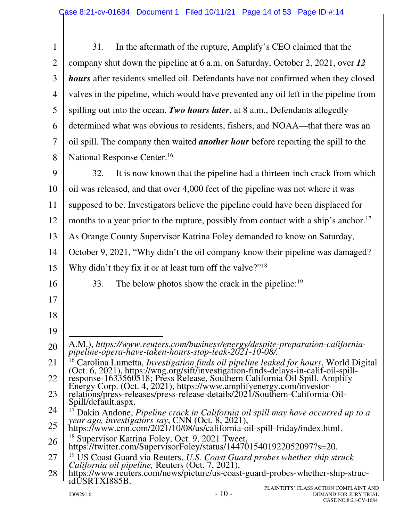| $\mathbf{1}$   | 31.<br>In the aftermath of the rupture, Amplify's CEO claimed that the                                                                                                                                                                    |
|----------------|-------------------------------------------------------------------------------------------------------------------------------------------------------------------------------------------------------------------------------------------|
| $\mathfrak{2}$ | company shut down the pipeline at 6 a.m. on Saturday, October 2, 2021, over 12                                                                                                                                                            |
| 3              | hours after residents smelled oil. Defendants have not confirmed when they closed                                                                                                                                                         |
| $\overline{4}$ | valves in the pipeline, which would have prevented any oil left in the pipeline from                                                                                                                                                      |
| 5              | spilling out into the ocean. Two hours later, at 8 a.m., Defendants allegedly                                                                                                                                                             |
| 6              | determined what was obvious to residents, fishers, and NOAA—that there was an                                                                                                                                                             |
| $\overline{7}$ | oil spill. The company then waited <i>another hour</i> before reporting the spill to the                                                                                                                                                  |
| 8              | National Response Center. <sup>16</sup>                                                                                                                                                                                                   |
| 9              | It is now known that the pipeline had a thirteen-inch crack from which<br>32.                                                                                                                                                             |
| 10             | oil was released, and that over 4,000 feet of the pipeline was not where it was                                                                                                                                                           |
| 11             | supposed to be. Investigators believe the pipeline could have been displaced for                                                                                                                                                          |
| 12             | months to a year prior to the rupture, possibly from contact with a ship's anchor. <sup>17</sup>                                                                                                                                          |
| 13             | As Orange County Supervisor Katrina Foley demanded to know on Saturday,                                                                                                                                                                   |
| 14             | October 9, 2021, "Why didn't the oil company know their pipeline was damaged?                                                                                                                                                             |
| 15             | Why didn't they fix it or at least turn off the valve?" <sup>18</sup>                                                                                                                                                                     |
| 16             | 33.<br>The below photos show the crack in the pipeline: <sup>19</sup>                                                                                                                                                                     |
| 17             |                                                                                                                                                                                                                                           |
| 18             |                                                                                                                                                                                                                                           |
| 19             |                                                                                                                                                                                                                                           |
| 20             | A.M.), https://www.reuters.com/business/energy/despite-preparation-california-<br>pipeline-opera-have-taken-hours-stop-leak-2021-10-08/.                                                                                                  |
| 21             | <sup>16</sup> Carolina Lumetta, <i>Investigation finds oil pipeline leaked for hours</i> , World Digital                                                                                                                                  |
| 22             | (Oct. 6, 2021), https://wng.org/sift/investigation-finds-delays-in-calif-oil-spill-<br>response-1633560518; Press Release, Southern California Oil Spill, Amplify<br>Energy Corp. (Oct. 4, 2021), https://www.amplifyenergy.com/investor- |
| 23             | relations/press-releases/press-refease-details/2021/Southern-California-Oil-<br>Spill/default.aspx.                                                                                                                                       |
| 24             | Dakin Andone, Pipeline crack in California oil spill may have occurred up to a                                                                                                                                                            |
| 25             | year ago, investigators say, CNN (Oct. 8, 2021),<br>https://www.cnn.com/2021/10/08/us/california-oil-spill-friday/index.html.                                                                                                             |
| 26             | <sup>18</sup> Supervisor Katrina Foley, Oct. 9, 2021 Tweet,<br>https://twitter.com/SupervisorFoley/status/1447015401922052097?s=20.                                                                                                       |
| 27             | $19$ US Coast Guard via Reuters, U.S. Coast Guard probes whether ship struck<br>California oil pipeline, Reuters (Oct. 7, 2021),                                                                                                          |
| 28             | https://www.reuters.com/news/picture/us-coast-guard-probes-whether-ship-struc-<br>idÜSRTXI885B.                                                                                                                                           |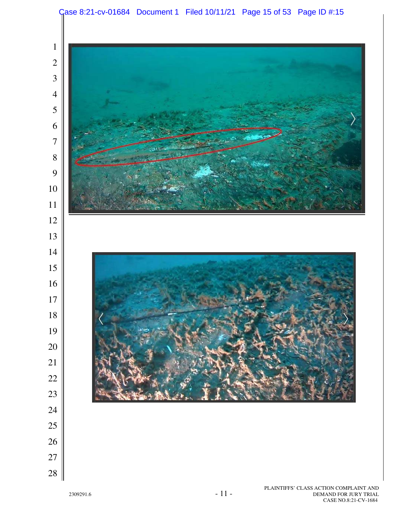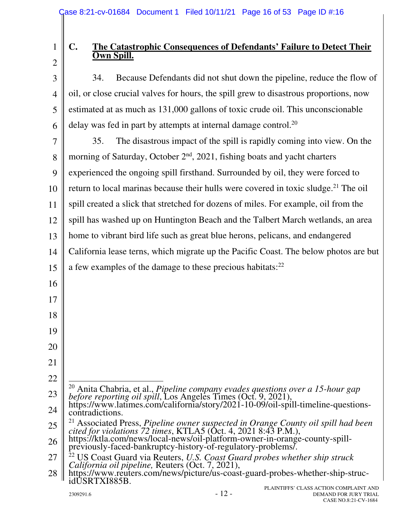# 1 2

## **C. The Catastrophic Consequences of Defendants' Failure to Detect Their Own Spill.**

3 4 5 6 7 8 9 10 11 12 13 14 15 16 17 18 19 20 21 22 23 24 25 26 27 28 34. Because Defendants did not shut down the pipeline, reduce the flow of oil, or close crucial valves for hours, the spill grew to disastrous proportions, now estimated at as much as 131,000 gallons of toxic crude oil. This unconscionable delay was fed in part by attempts at internal damage control.<sup>20</sup> 35. The disastrous impact of the spill is rapidly coming into view. On the morning of Saturday, October 2<sup>nd</sup>, 2021, fishing boats and yacht charters experienced the ongoing spill firsthand. Surrounded by oil, they were forced to return to local marinas because their hulls were covered in toxic sludge.<sup>21</sup> The oil spill created a slick that stretched for dozens of miles. For example, oil from the spill has washed up on Huntington Beach and the Talbert March wetlands, an area home to vibrant bird life such as great blue herons, pelicans, and endangered California lease terns, which migrate up the Pacific Coast. The below photos are but a few examples of the damage to these precious habitats:<sup>22</sup>  $\overline{a}$ <sup>20</sup> Anita Chabria, et al., *Pipeline company evades questions over a 15-hour gap before reporting oil spill*, Los Angeles Times (Oct. 9, 2021), https://www.latimes.com/california/story/2021-10-09/oil-spill-timeline-questionscontradictions. <sup>21</sup> Associated Press, *Pipeline owner suspected in Orange County oil spill had been cited for violations 72 times*, KTLA5 (Oct. 4, 2021 8:43 P.M.), https://ktla.com/news/local-news/oil-platform-owner-in-orange-county-spillpreviously-faced-bankruptcy-history-of-regulatory-problems/. <sup>22</sup> US Coast Guard via Reuters, *U.S. Coast Guard probes whether ship struck California oil pipeline,* Reuters (Oct. 7, 2021), https://www.reuters.com/news/picture/us-coast-guard-probes-whether-ship-strucidUSRTXI885B.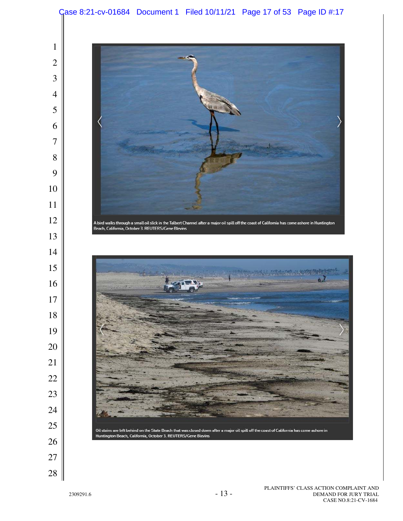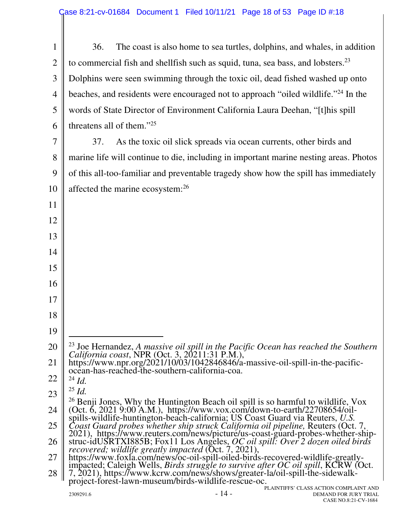| $\mathbf{1}$   | The coast is also home to sea turtles, dolphins, and whales, in addition<br>36.                                                                                                                                                              |
|----------------|----------------------------------------------------------------------------------------------------------------------------------------------------------------------------------------------------------------------------------------------|
| $\overline{2}$ | to commercial fish and shellfish such as squid, tuna, sea bass, and lobsters. <sup>23</sup>                                                                                                                                                  |
| 3              | Dolphins were seen swimming through the toxic oil, dead fished washed up onto                                                                                                                                                                |
| $\overline{4}$ | beaches, and residents were encouraged not to approach "oiled wildlife." <sup>24</sup> In the                                                                                                                                                |
| 5              | words of State Director of Environment California Laura Deehan, "[t]his spill                                                                                                                                                                |
| 6              | threatens all of them."25                                                                                                                                                                                                                    |
| $\overline{7}$ | As the toxic oil slick spreads via ocean currents, other birds and<br>37.                                                                                                                                                                    |
| 8              | marine life will continue to die, including in important marine nesting areas. Photos                                                                                                                                                        |
| 9              | of this all-too-familiar and preventable tragedy show how the spill has immediately                                                                                                                                                          |
| 10             | affected the marine ecosystem: <sup>26</sup>                                                                                                                                                                                                 |
| 11             |                                                                                                                                                                                                                                              |
| 12             |                                                                                                                                                                                                                                              |
| 13             |                                                                                                                                                                                                                                              |
| 14             |                                                                                                                                                                                                                                              |
| 15             |                                                                                                                                                                                                                                              |
| 16             |                                                                                                                                                                                                                                              |
| 17             |                                                                                                                                                                                                                                              |
| 18             |                                                                                                                                                                                                                                              |
| 19             |                                                                                                                                                                                                                                              |
| 20             | $^{23}$ Joe Hernandez, A massive oil spill in the Pacific Ocean has reached the Southern                                                                                                                                                     |
| 21             | California coast, NPR (Oct. 3, 20211:31 P.M.),<br>https://www.npr.org/2021/10/03/1042846846/a-massive-oil-spill-in-the-pacific-<br>ocean-has-reached-the-southern-california-coa.                                                            |
| 22             | $^{24}$ <i>Id.</i>                                                                                                                                                                                                                           |
| 23             | $^{25}$ <i>Id.</i><br>26                                                                                                                                                                                                                     |
| 24             | Benji Jones, Why the Huntington Beach oil spill is so harmful to wildlife, Vox<br>(Oct. 6, 2021 9:00 A.M.), https://www.vox.com/down-to-earth/22708654/oil-<br>spills-wildlife-huntington-beach-california; US Coast Guard via Reuters, U.S. |
| 25             | Coast Guard probes whether ship struck California oil pipeline, Reuters (Oct. 7,                                                                                                                                                             |
| 26             | 2021), https://www.reuters.com/news/picture/us-coast-guard-probes-whether-ship-<br>struc-idUSRTXI885B; Fox11 Los Angeles, <i>OC oil spill: Over 2 dozen oiled birds</i><br>recovered; wildlife greatly impacted (Oct. 7, 2021),              |
| 27             | https://www.foxla.com/news/oc-oil-spill-oiled-birds-recovered-wildlife-greatly-                                                                                                                                                              |
| 28             | impacted; Caleigh Wells, <i>Birds struggle to survive after OC oil spill</i> , KCRW (Oct.<br>7, 2021), https://www.kcrw.com/news/shows/greater-la/oil-spill-the-sidewalk-                                                                    |
|                | project-forest-lawn-museum/birds-wildlife-rescue-oc.<br>PLAINTIFFS' CLASS ACTION COMPLAINT AND<br>- 14 -<br>2309291.6<br>DEMAND FOR JURY TRIAL                                                                                               |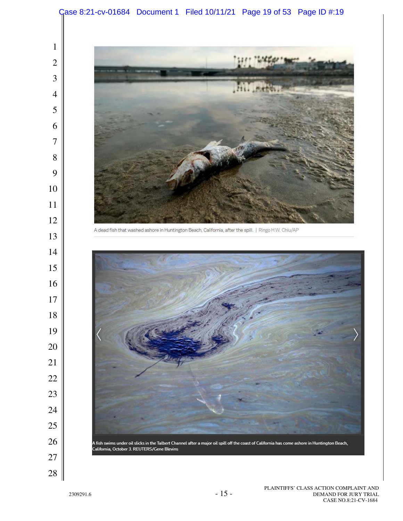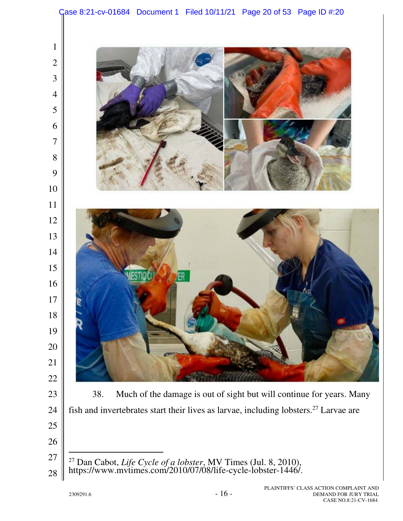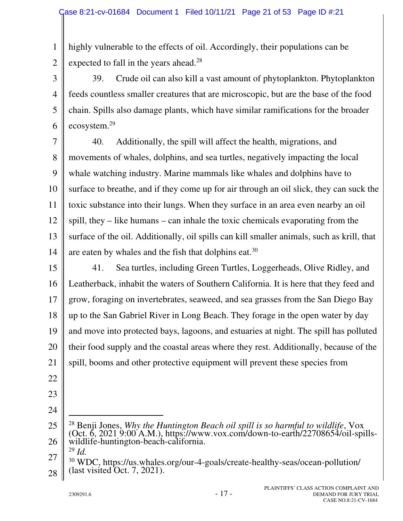1 2 highly vulnerable to the effects of oil. Accordingly, their populations can be expected to fall in the years ahead.<sup>28</sup>

3 4 5 6 39. Crude oil can also kill a vast amount of phytoplankton. Phytoplankton feeds countless smaller creatures that are microscopic, but are the base of the food chain. Spills also damage plants, which have similar ramifications for the broader ecosystem.<sup>29</sup>

7 8 9 10 11 12 13 14 40. Additionally, the spill will affect the health, migrations, and movements of whales, dolphins, and sea turtles, negatively impacting the local whale watching industry. Marine mammals like whales and dolphins have to surface to breathe, and if they come up for air through an oil slick, they can suck the toxic substance into their lungs. When they surface in an area even nearby an oil spill, they – like humans – can inhale the toxic chemicals evaporating from the surface of the oil. Additionally, oil spills can kill smaller animals, such as krill, that are eaten by whales and the fish that dolphins eat. $30$ 

15 16 17 18 19 20 21 41. Sea turtles, including Green Turtles, Loggerheads, Olive Ridley, and Leatherback, inhabit the waters of Southern California. It is here that they feed and grow, foraging on invertebrates, seaweed, and sea grasses from the San Diego Bay up to the San Gabriel River in Long Beach. They forage in the open water by day and move into protected bays, lagoons, and estuaries at night. The spill has polluted their food supply and the coastal areas where they rest. Additionally, because of the spill, booms and other protective equipment will prevent these species from

- 22
- 23
- 24

 $\overline{a}$ 

<sup>25</sup>  26 <sup>28</sup> Benji Jones, *Why the Huntington Beach oil spill is so harmful to wildlife*, Vox (Oct. 6, 2021 9:00 A.M.), https://www.vox.com/down-to-earth/22708654/oil-spillswildlife-huntington-beach-california.  $^{29}$  *Id.* 

<sup>27</sup>  28 <sup>30</sup> WDC, https://us.whales.org/our-4-goals/create-healthy-seas/ocean-pollution/ (last visited Oct. 7, 2021).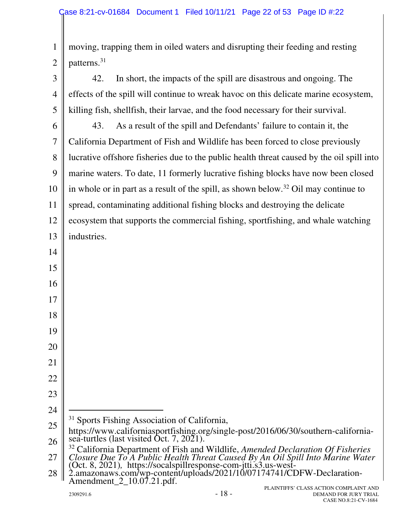1  $\mathcal{D}_{\mathcal{L}}$ moving, trapping them in oiled waters and disrupting their feeding and resting patterns.<sup>31</sup>

3 4 5 42. In short, the impacts of the spill are disastrous and ongoing. The effects of the spill will continue to wreak havoc on this delicate marine ecosystem, killing fish, shellfish, their larvae, and the food necessary for their survival.

 $2309291.6$  - 18 - PLAINTIFFS' CLASS ACTION COMPLAINT AND DEMAND FOR JURY TRIAL 6 7 8 9 10 11 12 13 14 15 16 17 18 19 20 21 22 23 24 25 26 27 28 43. As a result of the spill and Defendants' failure to contain it, the California Department of Fish and Wildlife has been forced to close previously lucrative offshore fisheries due to the public health threat caused by the oil spill into marine waters. To date, 11 formerly lucrative fishing blocks have now been closed in whole or in part as a result of the spill, as shown below.<sup>32</sup> Oil may continue to spread, contaminating additional fishing blocks and destroying the delicate ecosystem that supports the commercial fishing, sportfishing, and whale watching industries.  $\overline{a}$ <sup>31</sup> Sports Fishing Association of California, https://www.californiasportfishing.org/single-post/2016/06/30/southern-californiasea-turtles (last visited Oct. 7,  $20\tilde{2}1$ ). <sup>32</sup> California Department of Fish and Wildlife, *Amended Declaration Of Fisheries Closure Due To A Public Health Threat Caused By An Oil Spill Into Marine Water*  (Oct. 8, 2021)*,* https://socalspillresponse-com-jtti.s3.us-west-2.amazonaws.com/wp-content/uploads/2021/10/07174741/CDFW-Declaration-Amendment\_2\_10.07.21.pdf.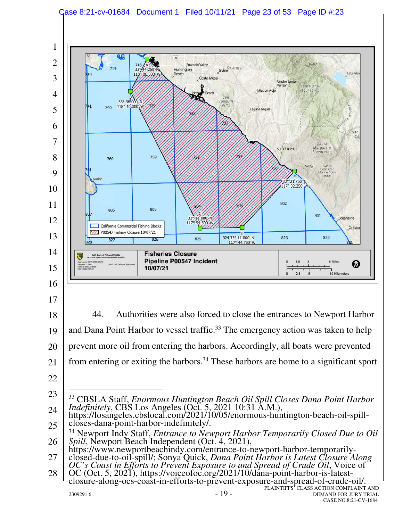

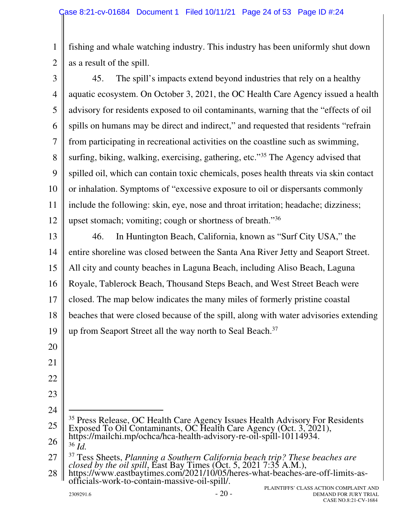1 2 fishing and whale watching industry. This industry has been uniformly shut down as a result of the spill.

3 4 5 6 7 8 9 10 11 12 13 14 15 16 17 18 19 20 21 22 23 24 25 26 27 28 45. The spill's impacts extend beyond industries that rely on a healthy aquatic ecosystem. On October 3, 2021, the OC Health Care Agency issued a health advisory for residents exposed to oil contaminants, warning that the "effects of oil spills on humans may be direct and indirect," and requested that residents "refrain from participating in recreational activities on the coastline such as swimming, surfing, biking, walking, exercising, gathering, etc."<sup>35</sup> The Agency advised that spilled oil, which can contain toxic chemicals, poses health threats via skin contact or inhalation. Symptoms of "excessive exposure to oil or dispersants commonly include the following: skin, eye, nose and throat irritation; headache; dizziness; upset stomach; vomiting; cough or shortness of breath."<sup>36</sup> 46. In Huntington Beach, California, known as "Surf City USA," the entire shoreline was closed between the Santa Ana River Jetty and Seaport Street. All city and county beaches in Laguna Beach, including Aliso Beach, Laguna Royale, Tablerock Beach, Thousand Steps Beach, and West Street Beach were closed. The map below indicates the many miles of formerly pristine coastal beaches that were closed because of the spill, along with water advisories extending up from Seaport Street all the way north to Seal Beach.<sup>37</sup>  $\overline{a}$ <sup>35</sup> Press Release, OC Health Care Agency Issues Health Advisory For Residents Exposed To Oil Contaminants, OC Health Care Agency (Oct. 3, 2021), https://mailchi.mp/ochca/hca-health-advisory-re-oil-spill-10114934. <sup>36</sup> *Id.* <sup>37</sup> Tess Sheets, *Planning a Southern California beach trip? These beaches are closed by the oil spill*, East Bay Times (Oct. 5, 2021 7:35 A.M.), https://www.eastbaytimes.com/2021/10/05/heres-what-beaches-are-off-limits-asofficials-work-to-contain-massive-oil-spill/.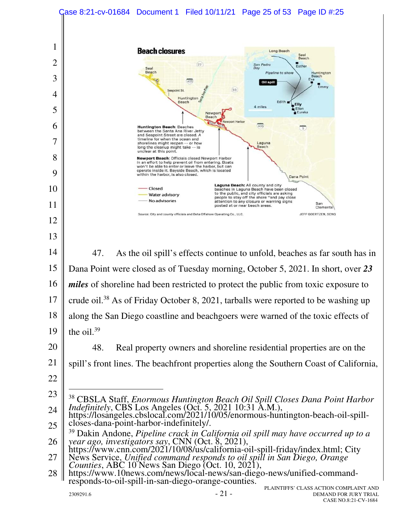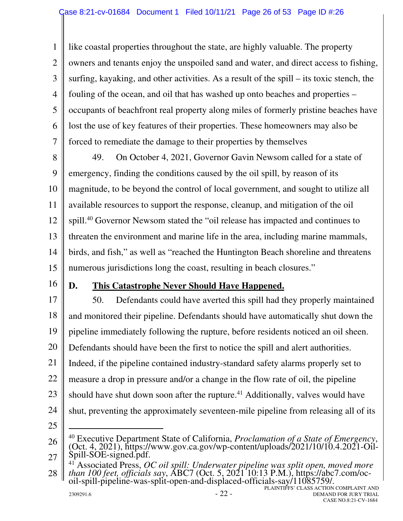1 2 3 4 5 6 7 like coastal properties throughout the state, are highly valuable. The property owners and tenants enjoy the unspoiled sand and water, and direct access to fishing, surfing, kayaking, and other activities. As a result of the spill – its toxic stench, the fouling of the ocean, and oil that has washed up onto beaches and properties – occupants of beachfront real property along miles of formerly pristine beaches have lost the use of key features of their properties. These homeowners may also be forced to remediate the damage to their properties by themselves

8 9 10 11 12 13 14 15 49. On October 4, 2021, Governor Gavin Newsom called for a state of emergency, finding the conditions caused by the oil spill, by reason of its magnitude, to be beyond the control of local government, and sought to utilize all available resources to support the response, cleanup, and mitigation of the oil spill.<sup>40</sup> Governor Newsom stated the "oil release has impacted and continues to threaten the environment and marine life in the area, including marine mammals, birds, and fish," as well as "reached the Huntington Beach shoreline and threatens numerous jurisdictions long the coast, resulting in beach closures."

16

#### **D. This Catastrophe Never Should Have Happened.**

17 18 19 20 21 22 23 24 50. Defendants could have averted this spill had they properly maintained and monitored their pipeline. Defendants should have automatically shut down the pipeline immediately following the rupture, before residents noticed an oil sheen. Defendants should have been the first to notice the spill and alert authorities. Indeed, if the pipeline contained industry-standard safety alarms properly set to measure a drop in pressure and/or a change in the flow rate of oil, the pipeline should have shut down soon after the rupture.<sup>41</sup> Additionally, valves would have shut, preventing the approximately seventeen-mile pipeline from releasing all of its

25

 $\overline{a}$ 

<sup>26</sup>  27 <sup>40</sup> Executive Department State of California, *Proclamation of a State of Emergency*, (Oct. 4, 2021), https://www.gov.ca.gov/wp-content/uploads/2021/10/10.4.2021-Oil-Spill-SOE-signed.pdf.

oil-spill-pipeline-was-split-open-and-displaced-officials-say/11085759/.<br><sup>PLAINTIFFS'</sup> CLASS ACTION COMPLAINT AND</sup><br>DEMAND FOR JURY TRIAL 28 <sup>41</sup> Associated Press, *OC oil spill: Underwater pipeline was split open, moved more than 100 feet, officials say*, ABC7 (Oct. 5, 2021 10:13 P.M.), https://abc7.com/oc-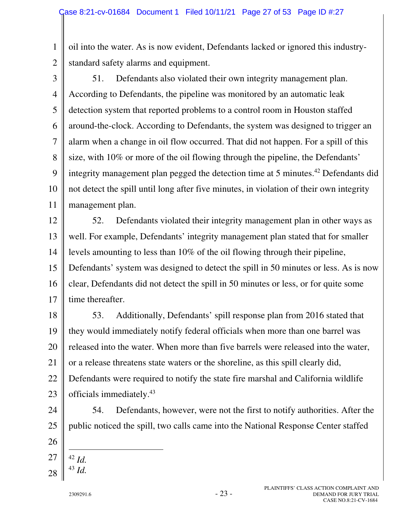1 2 oil into the water. As is now evident, Defendants lacked or ignored this industrystandard safety alarms and equipment.

3

4 5 6 7 8 9 10 11 51. Defendants also violated their own integrity management plan. According to Defendants, the pipeline was monitored by an automatic leak detection system that reported problems to a control room in Houston staffed around-the-clock. According to Defendants, the system was designed to trigger an alarm when a change in oil flow occurred. That did not happen. For a spill of this size, with 10% or more of the oil flowing through the pipeline, the Defendants' integrity management plan pegged the detection time at 5 minutes.<sup>42</sup> Defendants did not detect the spill until long after five minutes, in violation of their own integrity management plan.

12 13 14 15 16 17 52. Defendants violated their integrity management plan in other ways as well. For example, Defendants' integrity management plan stated that for smaller levels amounting to less than 10% of the oil flowing through their pipeline, Defendants' system was designed to detect the spill in 50 minutes or less. As is now clear, Defendants did not detect the spill in 50 minutes or less, or for quite some time thereafter.

18 19 20 21 22 23 53. Additionally, Defendants' spill response plan from 2016 stated that they would immediately notify federal officials when more than one barrel was released into the water. When more than five barrels were released into the water, or a release threatens state waters or the shoreline, as this spill clearly did, Defendants were required to notify the state fire marshal and California wildlife officials immediately.<sup>43</sup>

24 25 54. Defendants, however, were not the first to notify authorities. After the public noticed the spill, two calls came into the National Response Center staffed

- 26
- 27  $\overline{a}$ <sup>42</sup> *Id.*
- 28 <sup>43</sup> *Id.*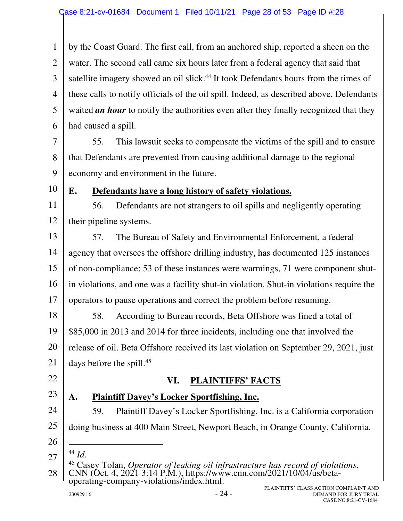1 2 3 4 5 6 by the Coast Guard. The first call, from an anchored ship, reported a sheen on the water. The second call came six hours later from a federal agency that said that satellite imagery showed an oil slick.<sup>44</sup> It took Defendants hours from the times of these calls to notify officials of the oil spill. Indeed, as described above, Defendants waited **an hour** to notify the authorities even after they finally recognized that they had caused a spill.

7 8 9 55. This lawsuit seeks to compensate the victims of the spill and to ensure that Defendants are prevented from causing additional damage to the regional economy and environment in the future.

10

#### **E. Defendants have a long history of safety violations.**

11 12 56. Defendants are not strangers to oil spills and negligently operating their pipeline systems.

13 14 15 16 17 57. The Bureau of Safety and Environmental Enforcement, a federal agency that oversees the offshore drilling industry, has documented 125 instances of non-compliance; 53 of these instances were warmings, 71 were component shutin violations, and one was a facility shut-in violation. Shut-in violations require the operators to pause operations and correct the problem before resuming.

18 19 20 21 58. According to Bureau records, Beta Offshore was fined a total of \$85,000 in 2013 and 2014 for three incidents, including one that involved the release of oil. Beta Offshore received its last violation on September 29, 2021, just days before the spill.<sup>45</sup>

22

## **VI. PLAINTIFFS' FACTS**

23

# **A. Plaintiff Davey's Locker Sportfishing, Inc.**

24 25 59. Plaintiff Davey's Locker Sportfishing, Inc. is a California corporation doing business at 400 Main Street, Newport Beach, in Orange County, California.

- 26
- 27  $\overline{a}$ <sup>44</sup> *Id.*

<sup>28</sup>  <sup>45</sup> Casey Tolan, *Operator of leaking oil infrastructure has record of violations*, CNN (Oct. 4, 2021 3:14 P.M.), https://www.cnn.com/2021/10/04/us/betaoperating-company-violations/index.html.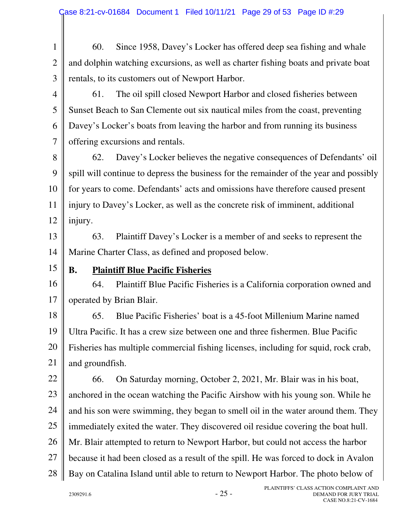1  $\mathcal{L}$ 3 60. Since 1958, Davey's Locker has offered deep sea fishing and whale and dolphin watching excursions, as well as charter fishing boats and private boat rentals, to its customers out of Newport Harbor.

4

5

6

7

61. The oil spill closed Newport Harbor and closed fisheries between Sunset Beach to San Clemente out six nautical miles from the coast, preventing Davey's Locker's boats from leaving the harbor and from running its business offering excursions and rentals.

8 9 10 11 12 62. Davey's Locker believes the negative consequences of Defendants' oil spill will continue to depress the business for the remainder of the year and possibly for years to come. Defendants' acts and omissions have therefore caused present injury to Davey's Locker, as well as the concrete risk of imminent, additional injury.

13 14 63. Plaintiff Davey's Locker is a member of and seeks to represent the Marine Charter Class, as defined and proposed below.

15

## **B. Plaintiff Blue Pacific Fisheries**

16 17 64. Plaintiff Blue Pacific Fisheries is a California corporation owned and operated by Brian Blair.

18 19 20 21 65. Blue Pacific Fisheries' boat is a 45-foot Millenium Marine named Ultra Pacific. It has a crew size between one and three fishermen. Blue Pacific Fisheries has multiple commercial fishing licenses, including for squid, rock crab, and groundfish.

22 23 24 25 26 27 28 66. On Saturday morning, October 2, 2021, Mr. Blair was in his boat, anchored in the ocean watching the Pacific Airshow with his young son. While he and his son were swimming, they began to smell oil in the water around them. They immediately exited the water. They discovered oil residue covering the boat hull. Mr. Blair attempted to return to Newport Harbor, but could not access the harbor because it had been closed as a result of the spill. He was forced to dock in Avalon Bay on Catalina Island until able to return to Newport Harbor. The photo below of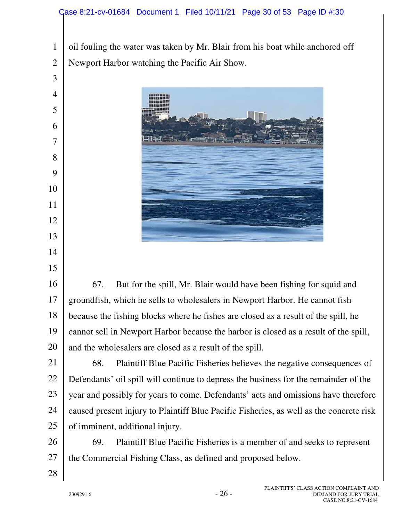1 2 oil fouling the water was taken by Mr. Blair from his boat while anchored off Newport Harbor watching the Pacific Air Show.



16 17 18 19 20 67. But for the spill, Mr. Blair would have been fishing for squid and groundfish, which he sells to wholesalers in Newport Harbor. He cannot fish because the fishing blocks where he fishes are closed as a result of the spill, he cannot sell in Newport Harbor because the harbor is closed as a result of the spill, and the wholesalers are closed as a result of the spill.

21 22 23 24 25 68. Plaintiff Blue Pacific Fisheries believes the negative consequences of Defendants' oil spill will continue to depress the business for the remainder of the year and possibly for years to come. Defendants' acts and omissions have therefore caused present injury to Plaintiff Blue Pacific Fisheries, as well as the concrete risk of imminent, additional injury.

26 27 69. Plaintiff Blue Pacific Fisheries is a member of and seeks to represent the Commercial Fishing Class, as defined and proposed below.

28

3

4

5

6

7

8

9

10

11

12

13

14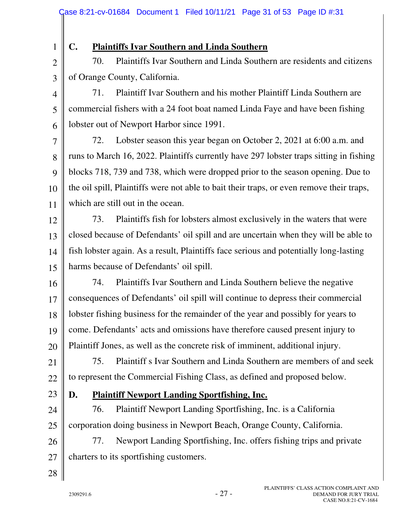1 2

## **C. Plaintiffs Ivar Southern and Linda Southern**

3 70. Plaintiffs Ivar Southern and Linda Southern are residents and citizens of Orange County, California.

4 5 6 71. Plaintiff Ivar Southern and his mother Plaintiff Linda Southern are commercial fishers with a 24 foot boat named Linda Faye and have been fishing lobster out of Newport Harbor since 1991.

7 8 9 10 11 72. Lobster season this year began on October 2, 2021 at 6:00 a.m. and runs to March 16, 2022. Plaintiffs currently have 297 lobster traps sitting in fishing blocks 718, 739 and 738, which were dropped prior to the season opening. Due to the oil spill, Plaintiffs were not able to bait their traps, or even remove their traps, which are still out in the ocean.

12 13 14 15 73. Plaintiffs fish for lobsters almost exclusively in the waters that were closed because of Defendants' oil spill and are uncertain when they will be able to fish lobster again. As a result, Plaintiffs face serious and potentially long-lasting harms because of Defendants' oil spill.

16 17 18 19 20 74. Plaintiffs Ivar Southern and Linda Southern believe the negative consequences of Defendants' oil spill will continue to depress their commercial lobster fishing business for the remainder of the year and possibly for years to come. Defendants' acts and omissions have therefore caused present injury to Plaintiff Jones, as well as the concrete risk of imminent, additional injury.

21 22 75. Plaintiff s Ivar Southern and Linda Southern are members of and seek to represent the Commercial Fishing Class, as defined and proposed below.

- 23
- **D. Plaintiff Newport Landing Sportfishing, Inc.**

24 25 76. Plaintiff Newport Landing Sportfishing, Inc. is a California corporation doing business in Newport Beach, Orange County, California.

26 27 77. Newport Landing Sportfishing, Inc. offers fishing trips and private charters to its sportfishing customers.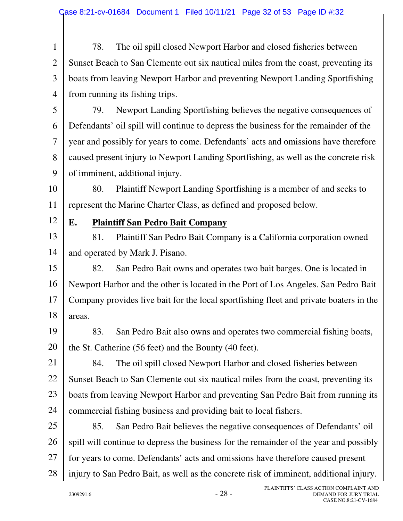1 2 3 4 78. The oil spill closed Newport Harbor and closed fisheries between Sunset Beach to San Clemente out six nautical miles from the coast, preventing its boats from leaving Newport Harbor and preventing Newport Landing Sportfishing from running its fishing trips.

5

6

7

8

9

79. Newport Landing Sportfishing believes the negative consequences of Defendants' oil spill will continue to depress the business for the remainder of the year and possibly for years to come. Defendants' acts and omissions have therefore caused present injury to Newport Landing Sportfishing, as well as the concrete risk of imminent, additional injury.

10 11 80. Plaintiff Newport Landing Sportfishing is a member of and seeks to represent the Marine Charter Class, as defined and proposed below.

12

## **E. Plaintiff San Pedro Bait Company**

13 14 81. Plaintiff San Pedro Bait Company is a California corporation owned and operated by Mark J. Pisano.

15 16 17 18 82. San Pedro Bait owns and operates two bait barges. One is located in Newport Harbor and the other is located in the Port of Los Angeles. San Pedro Bait Company provides live bait for the local sportfishing fleet and private boaters in the areas.

19 20 83. San Pedro Bait also owns and operates two commercial fishing boats, the St. Catherine (56 feet) and the Bounty (40 feet).

21 22 23 24 84. The oil spill closed Newport Harbor and closed fisheries between Sunset Beach to San Clemente out six nautical miles from the coast, preventing its boats from leaving Newport Harbor and preventing San Pedro Bait from running its commercial fishing business and providing bait to local fishers.

25 26 27 28 85. San Pedro Bait believes the negative consequences of Defendants' oil spill will continue to depress the business for the remainder of the year and possibly for years to come. Defendants' acts and omissions have therefore caused present injury to San Pedro Bait, as well as the concrete risk of imminent, additional injury.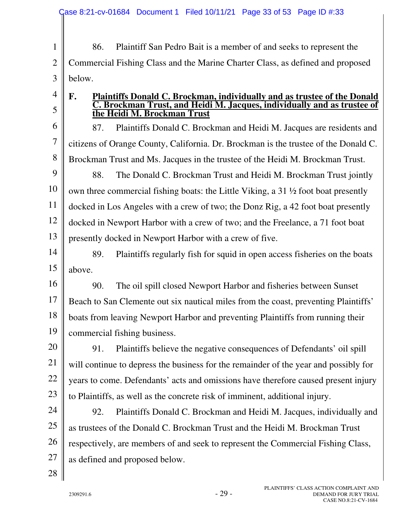1 2 3 86. Plaintiff San Pedro Bait is a member of and seeks to represent the Commercial Fishing Class and the Marine Charter Class, as defined and proposed below.

**F. Plaintiffs Donald C. Brockman, individually and as trustee of the Donald C. Brockman Trust, and Heidi M. Jacques, individually and as trustee of the Heidi M. Brockman Trust** 

6 7 8 9 10 11 12 13 87. Plaintiffs Donald C. Brockman and Heidi M. Jacques are residents and citizens of Orange County, California. Dr. Brockman is the trustee of the Donald C. Brockman Trust and Ms. Jacques in the trustee of the Heidi M. Brockman Trust. 88. The Donald C. Brockman Trust and Heidi M. Brockman Trust jointly own three commercial fishing boats: the Little Viking, a 31 ½ foot boat presently docked in Los Angeles with a crew of two; the Donz Rig, a 42 foot boat presently docked in Newport Harbor with a crew of two; and the Freelance, a 71 foot boat presently docked in Newport Harbor with a crew of five.

14 15 89. Plaintiffs regularly fish for squid in open access fisheries on the boats above.

16 17 18 19 90. The oil spill closed Newport Harbor and fisheries between Sunset Beach to San Clemente out six nautical miles from the coast, preventing Plaintiffs' boats from leaving Newport Harbor and preventing Plaintiffs from running their commercial fishing business.

20 21 22 23 91. Plaintiffs believe the negative consequences of Defendants' oil spill will continue to depress the business for the remainder of the year and possibly for years to come. Defendants' acts and omissions have therefore caused present injury to Plaintiffs, as well as the concrete risk of imminent, additional injury.

24 25 26 27 92. Plaintiffs Donald C. Brockman and Heidi M. Jacques, individually and as trustees of the Donald C. Brockman Trust and the Heidi M. Brockman Trust respectively, are members of and seek to represent the Commercial Fishing Class, as defined and proposed below.

28

4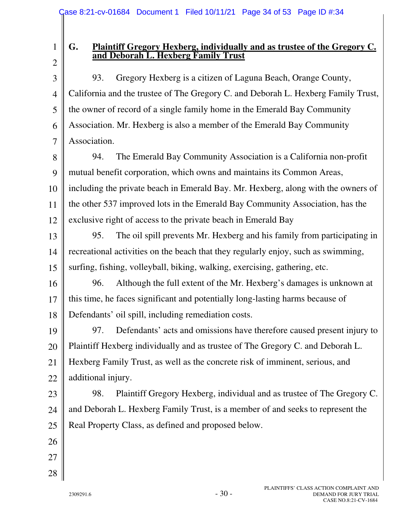1 2

#### **G. Plaintiff Gregory Hexberg, individually and as trustee of the Gregory C. and Deborah L. Hexberg Family Trust**

3 4 5 6 7 93. Gregory Hexberg is a citizen of Laguna Beach, Orange County, California and the trustee of The Gregory C. and Deborah L. Hexberg Family Trust, the owner of record of a single family home in the Emerald Bay Community Association. Mr. Hexberg is also a member of the Emerald Bay Community Association.

8 9 10 11 12 94. The Emerald Bay Community Association is a California non-profit mutual benefit corporation, which owns and maintains its Common Areas, including the private beach in Emerald Bay. Mr. Hexberg, along with the owners of the other 537 improved lots in the Emerald Bay Community Association, has the exclusive right of access to the private beach in Emerald Bay

13 14 15 95. The oil spill prevents Mr. Hexberg and his family from participating in recreational activities on the beach that they regularly enjoy, such as swimming, surfing, fishing, volleyball, biking, walking, exercising, gathering, etc.

16 17 18 96. Although the full extent of the Mr. Hexberg's damages is unknown at this time, he faces significant and potentially long-lasting harms because of Defendants' oil spill, including remediation costs.

19 20 21 22 97. Defendants' acts and omissions have therefore caused present injury to Plaintiff Hexberg individually and as trustee of The Gregory C. and Deborah L. Hexberg Family Trust, as well as the concrete risk of imminent, serious, and additional injury.

23 24 25 98. Plaintiff Gregory Hexberg, individual and as trustee of The Gregory C. and Deborah L. Hexberg Family Trust, is a member of and seeks to represent the Real Property Class, as defined and proposed below.

26

27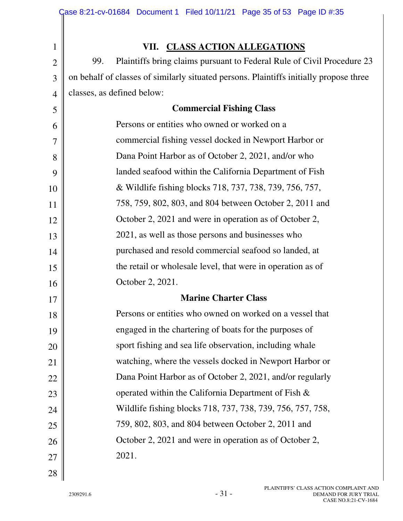|                | Case 8:21-cv-01684 Document 1 Filed 10/11/21 Page 35 of 53 Page ID #:35                |
|----------------|----------------------------------------------------------------------------------------|
|                |                                                                                        |
| 1              | VII. CLASS ACTION ALLEGATIONS                                                          |
| $\overline{2}$ | 99.<br>Plaintiffs bring claims pursuant to Federal Rule of Civil Procedure 23          |
| 3              | on behalf of classes of similarly situated persons. Plaintiffs initially propose three |
| $\overline{4}$ | classes, as defined below:                                                             |
| 5              | <b>Commercial Fishing Class</b>                                                        |
| 6              | Persons or entities who owned or worked on a                                           |
| 7              | commercial fishing vessel docked in Newport Harbor or                                  |
| 8              | Dana Point Harbor as of October 2, 2021, and/or who                                    |
| 9              | landed seafood within the California Department of Fish                                |
| 10             | & Wildlife fishing blocks 718, 737, 738, 739, 756, 757,                                |
| 11             | 758, 759, 802, 803, and 804 between October 2, 2011 and                                |
| 12             | October 2, 2021 and were in operation as of October 2,                                 |
| 13             | 2021, as well as those persons and businesses who                                      |
| 14             | purchased and resold commercial seafood so landed, at                                  |
| 15             | the retail or wholesale level, that were in operation as of                            |
| 16             | October 2, 2021.                                                                       |
| 17             | <b>Marine Charter Class</b>                                                            |
| 18             | Persons or entities who owned on worked on a vessel that                               |
| 19             | engaged in the chartering of boats for the purposes of                                 |
| 20             | sport fishing and sea life observation, including whale                                |
| 21             | watching, where the vessels docked in Newport Harbor or                                |
| 22             | Dana Point Harbor as of October 2, 2021, and/or regularly                              |
| 23             | operated within the California Department of Fish &                                    |
| 24             | Wildlife fishing blocks 718, 737, 738, 739, 756, 757, 758,                             |
| 25             | 759, 802, 803, and 804 between October 2, 2011 and                                     |
| 26             | October 2, 2021 and were in operation as of October 2,                                 |
| 27             | 2021.                                                                                  |
| 28             |                                                                                        |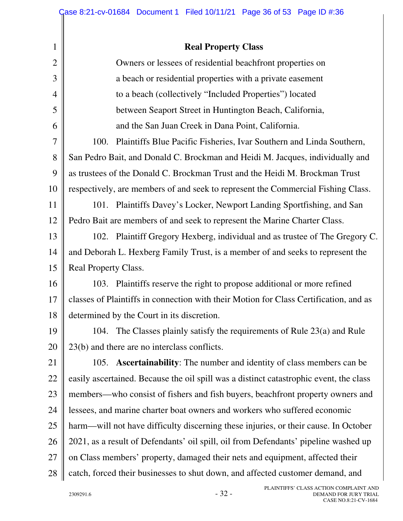|                | Case 8:21-cv-01684 Document 1 Filed 10/11/21 Page 36 of 53 Page ID #:36                |
|----------------|----------------------------------------------------------------------------------------|
| $\mathbf{1}$   | <b>Real Property Class</b>                                                             |
| $\overline{2}$ | Owners or lessees of residential beachfront properties on                              |
| 3              | a beach or residential properties with a private easement                              |
| 4              | to a beach (collectively "Included Properties") located                                |
| 5              | between Seaport Street in Huntington Beach, California,                                |
| 6              | and the San Juan Creek in Dana Point, California.                                      |
| $\overline{7}$ | 100. Plaintiffs Blue Pacific Fisheries, Ivar Southern and Linda Southern,              |
| 8              | San Pedro Bait, and Donald C. Brockman and Heidi M. Jacques, individually and          |
| 9              | as trustees of the Donald C. Brockman Trust and the Heidi M. Brockman Trust            |
| 10             | respectively, are members of and seek to represent the Commercial Fishing Class.       |
| 11             | 101. Plaintiffs Davey's Locker, Newport Landing Sportfishing, and San                  |
| 12             | Pedro Bait are members of and seek to represent the Marine Charter Class.              |
| 13             | 102. Plaintiff Gregory Hexberg, individual and as trustee of The Gregory C.            |
| 14             | and Deborah L. Hexberg Family Trust, is a member of and seeks to represent the         |
| 15             | Real Property Class.                                                                   |
| 16             | 103. Plaintiffs reserve the right to propose additional or more refined                |
| 17             | classes of Plaintiffs in connection with their Motion for Class Certification, and as  |
| 18             | determined by the Court in its discretion.                                             |
| 19             | 104. The Classes plainly satisfy the requirements of Rule 23(a) and Rule               |
| 20             | 23(b) and there are no interclass conflicts.                                           |
| 21             | 105. Ascertainability: The number and identity of class members can be                 |
| 22             | easily ascertained. Because the oil spill was a distinct catastrophic event, the class |
| 23             | members—who consist of fishers and fish buyers, beachfront property owners and         |
| 24             | lessees, and marine charter boat owners and workers who suffered economic              |
| 25             | harm—will not have difficulty discerning these injuries, or their cause. In October    |
| 26             | 2021, as a result of Defendants' oil spill, oil from Defendants' pipeline washed up    |
| 27             | on Class members' property, damaged their nets and equipment, affected their           |
| 28             | catch, forced their businesses to shut down, and affected customer demand, and         |
|                | PLAINTIFFS' CLASS ACTION COMPLAINT AND<br>$-32-$<br>2309291.6<br>DEMAND FOR JURY TRIAL |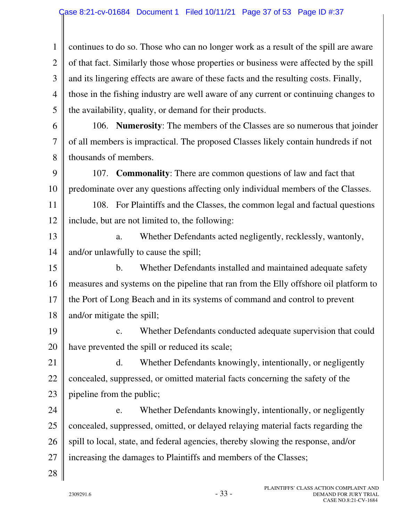1 2 3 4 5 continues to do so. Those who can no longer work as a result of the spill are aware of that fact. Similarly those whose properties or business were affected by the spill and its lingering effects are aware of these facts and the resulting costs. Finally, those in the fishing industry are well aware of any current or continuing changes to the availability, quality, or demand for their products.

6 7 8 106. **Numerosity**: The members of the Classes are so numerous that joinder of all members is impractical. The proposed Classes likely contain hundreds if not thousands of members.

9 10 107. **Commonality**: There are common questions of law and fact that predominate over any questions affecting only individual members of the Classes.

11 12 108. For Plaintiffs and the Classes, the common legal and factual questions include, but are not limited to, the following:

13 14 a. Whether Defendants acted negligently, recklessly, wantonly, and/or unlawfully to cause the spill;

15 16 17 18 b. Whether Defendants installed and maintained adequate safety measures and systems on the pipeline that ran from the Elly offshore oil platform to the Port of Long Beach and in its systems of command and control to prevent and/or mitigate the spill;

19 20 c. Whether Defendants conducted adequate supervision that could have prevented the spill or reduced its scale;

21 22 23 d. Whether Defendants knowingly, intentionally, or negligently concealed, suppressed, or omitted material facts concerning the safety of the pipeline from the public;

24 25 26 27 e. Whether Defendants knowingly, intentionally, or negligently concealed, suppressed, omitted, or delayed relaying material facts regarding the spill to local, state, and federal agencies, thereby slowing the response, and/or increasing the damages to Plaintiffs and members of the Classes;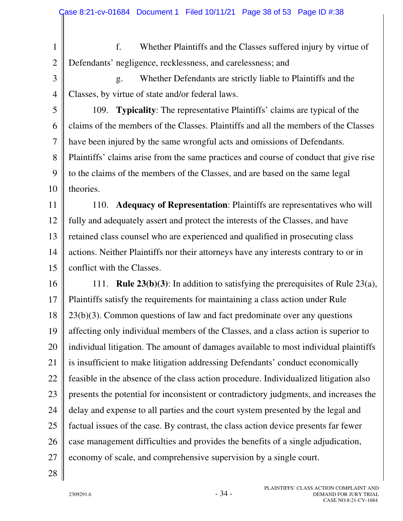- 1 2 f. Whether Plaintiffs and the Classes suffered injury by virtue of Defendants' negligence, recklessness, and carelessness; and
- 3 4 g. Whether Defendants are strictly liable to Plaintiffs and the Classes, by virtue of state and/or federal laws.
- 5 6 7 8 9 10 109. **Typicality**: The representative Plaintiffs' claims are typical of the claims of the members of the Classes. Plaintiffs and all the members of the Classes have been injured by the same wrongful acts and omissions of Defendants. Plaintiffs' claims arise from the same practices and course of conduct that give rise to the claims of the members of the Classes, and are based on the same legal theories.
- 11 12 13 14 15 110. **Adequacy of Representation**: Plaintiffs are representatives who will fully and adequately assert and protect the interests of the Classes, and have retained class counsel who are experienced and qualified in prosecuting class actions. Neither Plaintiffs nor their attorneys have any interests contrary to or in conflict with the Classes.

16 17 18 19 20 21 22 23 24 25 26 27 111. **Rule 23(b)(3)**: In addition to satisfying the prerequisites of Rule 23(a), Plaintiffs satisfy the requirements for maintaining a class action under Rule 23(b)(3). Common questions of law and fact predominate over any questions affecting only individual members of the Classes, and a class action is superior to individual litigation. The amount of damages available to most individual plaintiffs is insufficient to make litigation addressing Defendants' conduct economically feasible in the absence of the class action procedure. Individualized litigation also presents the potential for inconsistent or contradictory judgments, and increases the delay and expense to all parties and the court system presented by the legal and factual issues of the case. By contrast, the class action device presents far fewer case management difficulties and provides the benefits of a single adjudication, economy of scale, and comprehensive supervision by a single court.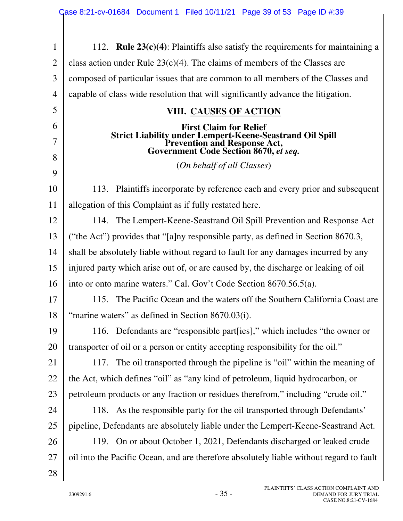| $\mathbf{1}$   | 112. <b>Rule 23(c)(4):</b> Plaintiffs also satisfy the requirements for maintaining a                                             |  |
|----------------|-----------------------------------------------------------------------------------------------------------------------------------|--|
| $\overline{2}$ | class action under Rule $23(c)(4)$ . The claims of members of the Classes are                                                     |  |
| 3              | composed of particular issues that are common to all members of the Classes and                                                   |  |
| $\overline{4}$ | capable of class wide resolution that will significantly advance the litigation.                                                  |  |
| 5              | <b>VIII. CAUSES OF ACTION</b>                                                                                                     |  |
| 6              | <b>First Claim for Relief</b>                                                                                                     |  |
| 7              | Strict Liability under Lempert-Keene-Seastrand Oil Spill<br>Prevention and Response Act,<br>Government Code Section 8670, et seq. |  |
| 8              | (On behalf of all Classes)                                                                                                        |  |
| 9              |                                                                                                                                   |  |
| 10             | 113. Plaintiffs incorporate by reference each and every prior and subsequent                                                      |  |
| 11             | allegation of this Complaint as if fully restated here.                                                                           |  |
| 12             | 114. The Lempert-Keene-Seastrand Oil Spill Prevention and Response Act                                                            |  |
| 13             | ("the Act") provides that "[a]ny responsible party, as defined in Section 8670.3,                                                 |  |
| 14             | shall be absolutely liable without regard to fault for any damages incurred by any                                                |  |
| 15             | injured party which arise out of, or are caused by, the discharge or leaking of oil                                               |  |
| 16             | into or onto marine waters." Cal. Gov't Code Section 8670.56.5(a).                                                                |  |
| 17             | 115. The Pacific Ocean and the waters off the Southern California Coast are                                                       |  |
| 18             | "marine waters" as defined in Section 8670.03(i).                                                                                 |  |
| 19             | 116. Defendants are "responsible part [ies]," which includes "the owner or                                                        |  |
| 20             | transporter of oil or a person or entity accepting responsibility for the oil."                                                   |  |
| 21             | 117. The oil transported through the pipeline is "oil" within the meaning of                                                      |  |
| 22             | the Act, which defines "oil" as "any kind of petroleum, liquid hydrocarbon, or                                                    |  |
| 23             | petroleum products or any fraction or residues therefrom," including "crude oil."                                                 |  |
| 24             | 118. As the responsible party for the oil transported through Defendants'                                                         |  |
| 25             | pipeline, Defendants are absolutely liable under the Lempert-Keene-Seastrand Act.                                                 |  |
| 26             | 119. On or about October 1, 2021, Defendants discharged or leaked crude                                                           |  |
| 27             | oil into the Pacific Ocean, and are therefore absolutely liable without regard to fault                                           |  |
| 28             |                                                                                                                                   |  |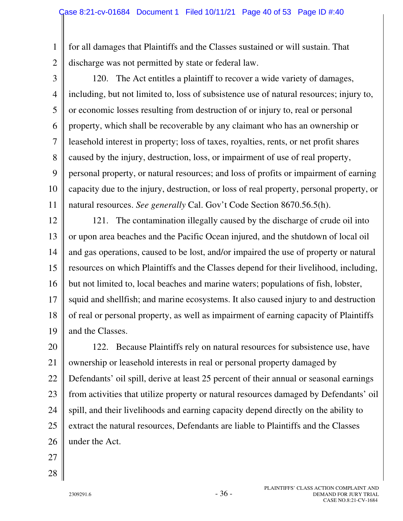1 2 for all damages that Plaintiffs and the Classes sustained or will sustain. That discharge was not permitted by state or federal law.

3

4 5 6 7 8 9 10 11 120. The Act entitles a plaintiff to recover a wide variety of damages, including, but not limited to, loss of subsistence use of natural resources; injury to, or economic losses resulting from destruction of or injury to, real or personal property, which shall be recoverable by any claimant who has an ownership or leasehold interest in property; loss of taxes, royalties, rents, or net profit shares caused by the injury, destruction, loss, or impairment of use of real property, personal property, or natural resources; and loss of profits or impairment of earning capacity due to the injury, destruction, or loss of real property, personal property, or natural resources. *See generally* Cal. Gov't Code Section 8670.56.5(h).

12 13 14 15 16 17 18 19 121. The contamination illegally caused by the discharge of crude oil into or upon area beaches and the Pacific Ocean injured, and the shutdown of local oil and gas operations, caused to be lost, and/or impaired the use of property or natural resources on which Plaintiffs and the Classes depend for their livelihood, including, but not limited to, local beaches and marine waters; populations of fish, lobster, squid and shellfish; and marine ecosystems. It also caused injury to and destruction of real or personal property, as well as impairment of earning capacity of Plaintiffs and the Classes.

20 21 22 23 24 25 26 122. Because Plaintiffs rely on natural resources for subsistence use, have ownership or leasehold interests in real or personal property damaged by Defendants' oil spill, derive at least 25 percent of their annual or seasonal earnings from activities that utilize property or natural resources damaged by Defendants' oil spill, and their livelihoods and earning capacity depend directly on the ability to extract the natural resources, Defendants are liable to Plaintiffs and the Classes under the Act.

- 27
- 28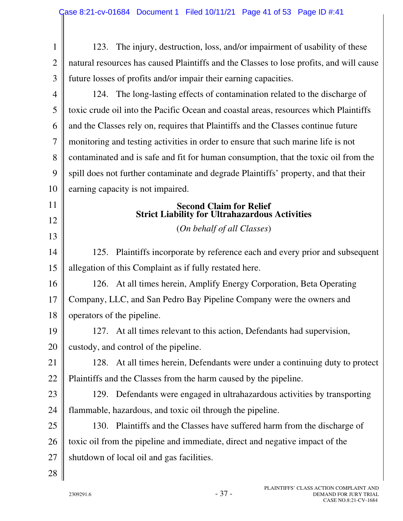| $\mathbf{1}$   | 123. The injury, destruction, loss, and/or impairment of usability of these             |
|----------------|-----------------------------------------------------------------------------------------|
| $\overline{2}$ | natural resources has caused Plaintiffs and the Classes to lose profits, and will cause |
| 3              | future losses of profits and/or impair their earning capacities.                        |
| $\overline{4}$ | 124. The long-lasting effects of contamination related to the discharge of              |
| 5              | toxic crude oil into the Pacific Ocean and coastal areas, resources which Plaintiffs    |
| 6              | and the Classes rely on, requires that Plaintiffs and the Classes continue future       |
| $\overline{7}$ | monitoring and testing activities in order to ensure that such marine life is not       |
| 8              | contaminated and is safe and fit for human consumption, that the toxic oil from the     |
| 9              | spill does not further contaminate and degrade Plaintiffs' property, and that their     |
| 10             | earning capacity is not impaired.                                                       |
| 11             | <b>Second Claim for Relief</b>                                                          |
| 12             | <b>Strict Liability for Ultrahazardous Activities</b><br>(On behalf of all Classes)     |
| 13             |                                                                                         |
| 14             | 125. Plaintiffs incorporate by reference each and every prior and subsequent            |
| 15             | allegation of this Complaint as if fully restated here.                                 |
| 16             | 126. At all times herein, Amplify Energy Corporation, Beta Operating                    |
| 17             | Company, LLC, and San Pedro Bay Pipeline Company were the owners and                    |
| 18             | operators of the pipeline.                                                              |
| 19             | 127. At all times relevant to this action, Defendants had supervision,                  |
| 20             | custody, and control of the pipeline.                                                   |
| 21             | 128. At all times herein, Defendants were under a continuing duty to protect            |
| 22             | Plaintiffs and the Classes from the harm caused by the pipeline.                        |
| 23             | 129. Defendants were engaged in ultrahazardous activities by transporting               |
| 24             | flammable, hazardous, and toxic oil through the pipeline.                               |
| 25             | Plaintiffs and the Classes have suffered harm from the discharge of<br>130.             |
| 26             | toxic oil from the pipeline and immediate, direct and negative impact of the            |
| 27             | shutdown of local oil and gas facilities.                                               |
| 28             |                                                                                         |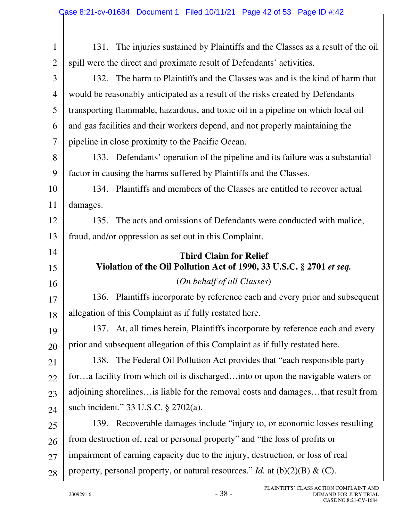| $\mathbf{1}$   | The injuries sustained by Plaintiffs and the Classes as a result of the oil<br>131. |
|----------------|-------------------------------------------------------------------------------------|
| $\overline{2}$ | spill were the direct and proximate result of Defendants' activities.               |
| 3              | The harm to Plaintiffs and the Classes was and is the kind of harm that<br>132.     |
| $\overline{4}$ | would be reasonably anticipated as a result of the risks created by Defendants      |
| 5              | transporting flammable, hazardous, and toxic oil in a pipeline on which local oil   |
| 6              | and gas facilities and their workers depend, and not properly maintaining the       |
| $\overline{7}$ | pipeline in close proximity to the Pacific Ocean.                                   |
| 8              | 133. Defendants' operation of the pipeline and its failure was a substantial        |
| 9              | factor in causing the harms suffered by Plaintiffs and the Classes.                 |
| 10             | Plaintiffs and members of the Classes are entitled to recover actual<br>134.        |
| 11             | damages.                                                                            |
| 12             | The acts and omissions of Defendants were conducted with malice,<br>135.            |
| 13             | fraud, and/or oppression as set out in this Complaint.                              |
| 14             | <b>Third Claim for Relief</b>                                                       |
| 15             | Violation of the Oil Pollution Act of 1990, 33 U.S.C. § 2701 et seq.                |
| 16             | (On behalf of all Classes)                                                          |
| 17             | Plaintiffs incorporate by reference each and every prior and subsequent<br>136.     |
| 18             | allegation of this Complaint as if fully restated here.                             |
| 19             | 137. At, all times herein, Plaintiffs incorporate by reference each and every       |
| 20             | prior and subsequent allegation of this Complaint as if fully restated here.        |
| 21             | The Federal Oil Pollution Act provides that "each responsible party"<br>138.        |
| 22             | fora facility from which oil is dischargedinto or upon the navigable waters or      |
| 23             | adjoining shorelines is liable for the removal costs and damages that result from   |
| 24             | such incident." 33 U.S.C. § 2702(a).                                                |
|                |                                                                                     |
| 25             | 139. Recoverable damages include "injury to, or economic losses resulting           |
| 26             | from destruction of, real or personal property" and "the loss of profits or         |
| 27             | impairment of earning capacity due to the injury, destruction, or loss of real      |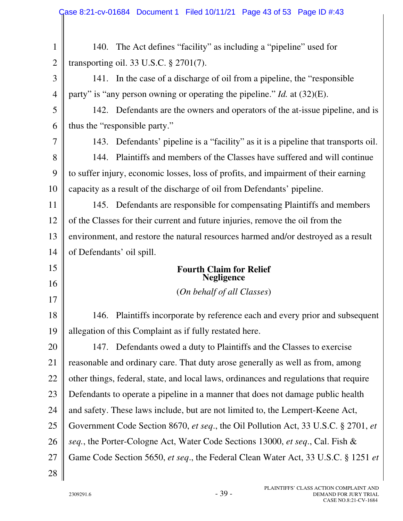| $\mathbf{1}$   | The Act defines "facility" as including a "pipeline" used for<br>140.                 |  |
|----------------|---------------------------------------------------------------------------------------|--|
| $\overline{2}$ | transporting oil. 33 U.S.C. $\S 2701(7)$ .                                            |  |
| 3              | 141. In the case of a discharge of oil from a pipeline, the "responsible"             |  |
| 4              | party" is "any person owning or operating the pipeline." <i>Id.</i> at $(32)(E)$ .    |  |
| 5              | 142. Defendants are the owners and operators of the at-issue pipeline, and is         |  |
| 6              | thus the "responsible party."                                                         |  |
| $\overline{7}$ | 143. Defendants' pipeline is a "facility" as it is a pipeline that transports oil.    |  |
| 8              | 144. Plaintiffs and members of the Classes have suffered and will continue            |  |
| 9              | to suffer injury, economic losses, loss of profits, and impairment of their earning   |  |
| 10             | capacity as a result of the discharge of oil from Defendants' pipeline.               |  |
| 11             | 145. Defendants are responsible for compensating Plaintiffs and members               |  |
| 12             | of the Classes for their current and future injuries, remove the oil from the         |  |
| 13             | environment, and restore the natural resources harmed and/or destroyed as a result    |  |
| 14             | of Defendants' oil spill.                                                             |  |
|                |                                                                                       |  |
| 15             | <b>Fourth Claim for Relief</b>                                                        |  |
| 16             | <b>Negligence</b>                                                                     |  |
| 17             | (On behalf of all Classes)                                                            |  |
| 18             | Plaintiffs incorporate by reference each and every prior and subsequent<br>146.       |  |
| 19             | allegation of this Complaint as if fully restated here.                               |  |
| 20             | 147. Defendants owed a duty to Plaintiffs and the Classes to exercise                 |  |
| 21             | reasonable and ordinary care. That duty arose generally as well as from, among        |  |
|                | other things, federal, state, and local laws, ordinances and regulations that require |  |
|                | Defendants to operate a pipeline in a manner that does not damage public health       |  |
| 22<br>23<br>24 | and safety. These laws include, but are not limited to, the Lempert-Keene Act,        |  |
| 25             | Government Code Section 8670, et seq., the Oil Pollution Act, 33 U.S.C. § 2701, et    |  |
| 26             | seq., the Porter-Cologne Act, Water Code Sections 13000, et seq., Cal. Fish &         |  |
| 27             | Game Code Section 5650, et seq., the Federal Clean Water Act, 33 U.S.C. § 1251 et     |  |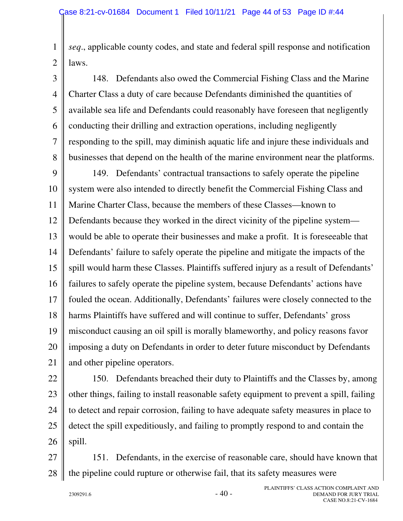1 2 *seq*., applicable county codes, and state and federal spill response and notification laws.

3 4 5 6 7 8 148. Defendants also owed the Commercial Fishing Class and the Marine Charter Class a duty of care because Defendants diminished the quantities of available sea life and Defendants could reasonably have foreseen that negligently conducting their drilling and extraction operations, including negligently responding to the spill, may diminish aquatic life and injure these individuals and businesses that depend on the health of the marine environment near the platforms.

9 10 11 12 13 14 15 16 17 18 19 20 21 149. Defendants' contractual transactions to safely operate the pipeline system were also intended to directly benefit the Commercial Fishing Class and Marine Charter Class, because the members of these Classes—known to Defendants because they worked in the direct vicinity of the pipeline system would be able to operate their businesses and make a profit. It is foreseeable that Defendants' failure to safely operate the pipeline and mitigate the impacts of the spill would harm these Classes. Plaintiffs suffered injury as a result of Defendants' failures to safely operate the pipeline system, because Defendants' actions have fouled the ocean. Additionally, Defendants' failures were closely connected to the harms Plaintiffs have suffered and will continue to suffer, Defendants' gross misconduct causing an oil spill is morally blameworthy, and policy reasons favor imposing a duty on Defendants in order to deter future misconduct by Defendants and other pipeline operators.

22 23 24 25 26 150. Defendants breached their duty to Plaintiffs and the Classes by, among other things, failing to install reasonable safety equipment to prevent a spill, failing to detect and repair corrosion, failing to have adequate safety measures in place to detect the spill expeditiously, and failing to promptly respond to and contain the spill.

27 28 151. Defendants, in the exercise of reasonable care, should have known that the pipeline could rupture or otherwise fail, that its safety measures were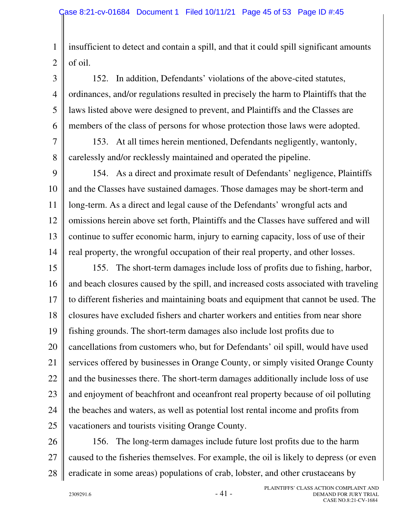1 2 insufficient to detect and contain a spill, and that it could spill significant amounts of oil.

3 4 5 6 152. In addition, Defendants' violations of the above-cited statutes, ordinances, and/or regulations resulted in precisely the harm to Plaintiffs that the laws listed above were designed to prevent, and Plaintiffs and the Classes are members of the class of persons for whose protection those laws were adopted.

153. At all times herein mentioned, Defendants negligently, wantonly, carelessly and/or recklessly maintained and operated the pipeline.

9 10 11 12 13 14 154. As a direct and proximate result of Defendants' negligence, Plaintiffs and the Classes have sustained damages. Those damages may be short-term and long-term. As a direct and legal cause of the Defendants' wrongful acts and omissions herein above set forth, Plaintiffs and the Classes have suffered and will continue to suffer economic harm, injury to earning capacity, loss of use of their real property, the wrongful occupation of their real property, and other losses.

15 16 17 18 19 20 21 22 23 24 25 155. The short-term damages include loss of profits due to fishing, harbor, and beach closures caused by the spill, and increased costs associated with traveling to different fisheries and maintaining boats and equipment that cannot be used. The closures have excluded fishers and charter workers and entities from near shore fishing grounds. The short-term damages also include lost profits due to cancellations from customers who, but for Defendants' oil spill, would have used services offered by businesses in Orange County, or simply visited Orange County and the businesses there. The short-term damages additionally include loss of use and enjoyment of beachfront and oceanfront real property because of oil polluting the beaches and waters, as well as potential lost rental income and profits from vacationers and tourists visiting Orange County.

26 27 28 156. The long-term damages include future lost profits due to the harm caused to the fisheries themselves. For example, the oil is likely to depress (or even eradicate in some areas) populations of crab, lobster, and other crustaceans by

7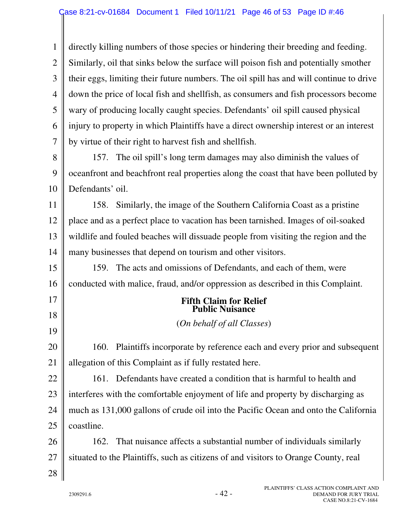1  $\mathcal{L}$ 3 4 5 6 7 directly killing numbers of those species or hindering their breeding and feeding. Similarly, oil that sinks below the surface will poison fish and potentially smother their eggs, limiting their future numbers. The oil spill has and will continue to drive down the price of local fish and shellfish, as consumers and fish processors become wary of producing locally caught species. Defendants' oil spill caused physical injury to property in which Plaintiffs have a direct ownership interest or an interest by virtue of their right to harvest fish and shellfish.

8 9 10 157. The oil spill's long term damages may also diminish the values of oceanfront and beachfront real properties along the coast that have been polluted by Defendants' oil.

11 12 13 14 158. Similarly, the image of the Southern California Coast as a pristine place and as a perfect place to vacation has been tarnished. Images of oil-soaked wildlife and fouled beaches will dissuade people from visiting the region and the many businesses that depend on tourism and other visitors.

15 16 159. The acts and omissions of Defendants, and each of them, were conducted with malice, fraud, and/or oppression as described in this Complaint.

#### **Fifth Claim for Relief Public Nuisance**

(*On behalf of all Classes*)

20 21 160. Plaintiffs incorporate by reference each and every prior and subsequent allegation of this Complaint as if fully restated here.

22 23 24 25 161. Defendants have created a condition that is harmful to health and interferes with the comfortable enjoyment of life and property by discharging as much as 131,000 gallons of crude oil into the Pacific Ocean and onto the California coastline.

26 27 162. That nuisance affects a substantial number of individuals similarly situated to the Plaintiffs, such as citizens of and visitors to Orange County, real

28

17

18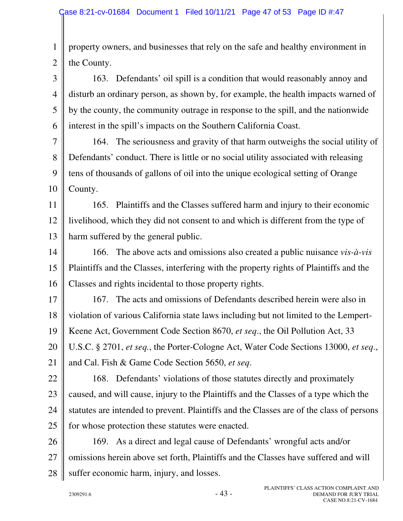1  $\mathcal{L}$ property owners, and businesses that rely on the safe and healthy environment in the County.

3 4 5 6 163. Defendants' oil spill is a condition that would reasonably annoy and disturb an ordinary person, as shown by, for example, the health impacts warned of by the county, the community outrage in response to the spill, and the nationwide interest in the spill's impacts on the Southern California Coast.

7 8 9 10 164. The seriousness and gravity of that harm outweighs the social utility of Defendants' conduct. There is little or no social utility associated with releasing tens of thousands of gallons of oil into the unique ecological setting of Orange County.

11 12 13 165. Plaintiffs and the Classes suffered harm and injury to their economic livelihood, which they did not consent to and which is different from the type of harm suffered by the general public.

14 15 16 166. The above acts and omissions also created a public nuisance *vis-à-vis*  Plaintiffs and the Classes, interfering with the property rights of Plaintiffs and the Classes and rights incidental to those property rights.

17 18 19 20 21 167. The acts and omissions of Defendants described herein were also in violation of various California state laws including but not limited to the Lempert-Keene Act, Government Code Section 8670, *et seq*., the Oil Pollution Act, 33 U.S.C. § 2701, *et seq.*, the Porter-Cologne Act, Water Code Sections 13000, *et seq*., and Cal. Fish & Game Code Section 5650, *et seq*.

22 23 24 25 168. Defendants' violations of those statutes directly and proximately caused, and will cause, injury to the Plaintiffs and the Classes of a type which the statutes are intended to prevent. Plaintiffs and the Classes are of the class of persons for whose protection these statutes were enacted.

26 27 28 169. As a direct and legal cause of Defendants' wrongful acts and/or omissions herein above set forth, Plaintiffs and the Classes have suffered and will suffer economic harm, injury, and losses.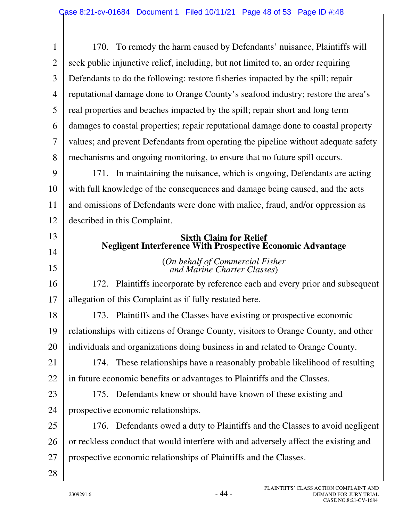| $\mathbf{1}$   | To remedy the harm caused by Defendants' nuisance, Plaintiffs will<br>170.          |
|----------------|-------------------------------------------------------------------------------------|
| $\overline{2}$ | seek public injunctive relief, including, but not limited to, an order requiring    |
| 3              | Defendants to do the following: restore fisheries impacted by the spill; repair     |
| 4              | reputational damage done to Orange County's seafood industry; restore the area's    |
| 5              | real properties and beaches impacted by the spill; repair short and long term       |
| 6              | damages to coastal properties; repair reputational damage done to coastal property  |
| 7              | values; and prevent Defendants from operating the pipeline without adequate safety  |
| 8              | mechanisms and ongoing monitoring, to ensure that no future spill occurs.           |
| 9              | 171. In maintaining the nuisance, which is ongoing, Defendants are acting           |
| 10             | with full knowledge of the consequences and damage being caused, and the acts       |
| 11             | and omissions of Defendants were done with malice, fraud, and/or oppression as      |
| 12             | described in this Complaint.                                                        |
| 13             | <b>Sixth Claim for Relief</b>                                                       |
| 14             | <b>Negligent Interference With Prospective Economic Advantage</b>                   |
| 15             | (On behalf of Commercial Fisher<br>and Marine Charter Classes)                      |
| 16             | Plaintiffs incorporate by reference each and every prior and subsequent<br>172.     |
| 17             | allegation of this Complaint as if fully restated here.                             |
| 18             | 173. Plaintiffs and the Classes have existing or prospective economic               |
| 19             | relationships with citizens of Orange County, visitors to Orange County, and other  |
| 20             | individuals and organizations doing business in and related to Orange County.       |
| 21             | 174. These relationships have a reasonably probable likelihood of resulting         |
| 22             | in future economic benefits or advantages to Plaintiffs and the Classes.            |
| 23             | 175. Defendants knew or should have known of these existing and                     |
| 24             | prospective economic relationships.                                                 |
| 25             | 176. Defendants owed a duty to Plaintiffs and the Classes to avoid negligent        |
| 26             | or reckless conduct that would interfere with and adversely affect the existing and |
| 27             | prospective economic relationships of Plaintiffs and the Classes.                   |
| 28             |                                                                                     |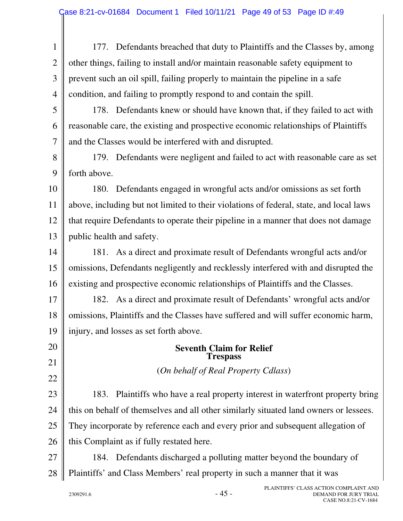1 2 3 4 177. Defendants breached that duty to Plaintiffs and the Classes by, among other things, failing to install and/or maintain reasonable safety equipment to prevent such an oil spill, failing properly to maintain the pipeline in a safe condition, and failing to promptly respond to and contain the spill.

5 6 7 178. Defendants knew or should have known that, if they failed to act with reasonable care, the existing and prospective economic relationships of Plaintiffs and the Classes would be interfered with and disrupted.

8 9 179. Defendants were negligent and failed to act with reasonable care as set forth above.

10 11 12 13 180. Defendants engaged in wrongful acts and/or omissions as set forth above, including but not limited to their violations of federal, state, and local laws that require Defendants to operate their pipeline in a manner that does not damage public health and safety.

14 15 16 181. As a direct and proximate result of Defendants wrongful acts and/or omissions, Defendants negligently and recklessly interfered with and disrupted the existing and prospective economic relationships of Plaintiffs and the Classes.

17 18 19 182. As a direct and proximate result of Defendants' wrongful acts and/or omissions, Plaintiffs and the Classes have suffered and will suffer economic harm, injury, and losses as set forth above.

#### **Seventh Claim for Relief Trespass**

(*On behalf of Real Property Cdlass*)

23 24 25 26 183. Plaintiffs who have a real property interest in waterfront property bring this on behalf of themselves and all other similarly situated land owners or lessees. They incorporate by reference each and every prior and subsequent allegation of this Complaint as if fully restated here.

27 28 184. Defendants discharged a polluting matter beyond the boundary of Plaintiffs' and Class Members' real property in such a manner that it was

20

21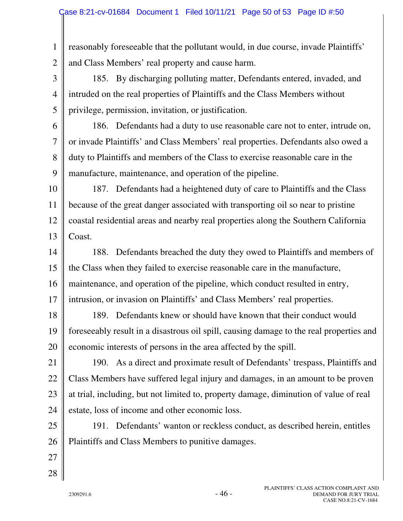1 2 reasonably foreseeable that the pollutant would, in due course, invade Plaintiffs' and Class Members' real property and cause harm.

3 4 5 185. By discharging polluting matter, Defendants entered, invaded, and intruded on the real properties of Plaintiffs and the Class Members without privilege, permission, invitation, or justification.

6 7 8 9 186. Defendants had a duty to use reasonable care not to enter, intrude on, or invade Plaintiffs' and Class Members' real properties. Defendants also owed a duty to Plaintiffs and members of the Class to exercise reasonable care in the manufacture, maintenance, and operation of the pipeline.

10 11 12 13 187. Defendants had a heightened duty of care to Plaintiffs and the Class because of the great danger associated with transporting oil so near to pristine coastal residential areas and nearby real properties along the Southern California Coast.

14 15 16 17 188. Defendants breached the duty they owed to Plaintiffs and members of the Class when they failed to exercise reasonable care in the manufacture, maintenance, and operation of the pipeline, which conduct resulted in entry, intrusion, or invasion on Plaintiffs' and Class Members' real properties.

18 19 20 189. Defendants knew or should have known that their conduct would foreseeably result in a disastrous oil spill, causing damage to the real properties and economic interests of persons in the area affected by the spill.

21 22 23 24 190. As a direct and proximate result of Defendants' trespass, Plaintiffs and Class Members have suffered legal injury and damages, in an amount to be proven at trial, including, but not limited to, property damage, diminution of value of real estate, loss of income and other economic loss.

25 26 191. Defendants' wanton or reckless conduct, as described herein, entitles Plaintiffs and Class Members to punitive damages.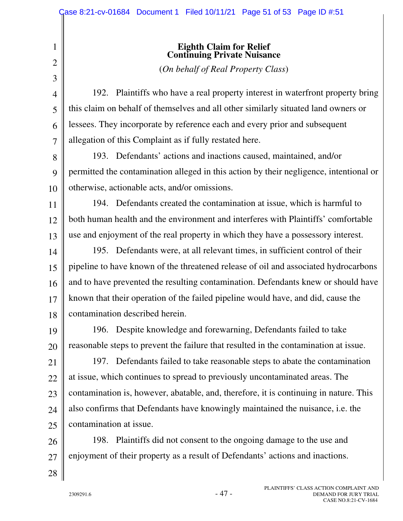**Eighth Claim for Relief Continuing Private Nuisance** 

(*On behalf of Real Property Class*)

3 4 5 6 7 8 9 192. Plaintiffs who have a real property interest in waterfront property bring this claim on behalf of themselves and all other similarly situated land owners or lessees. They incorporate by reference each and every prior and subsequent allegation of this Complaint as if fully restated here. 193. Defendants' actions and inactions caused, maintained, and/or permitted the contamination alleged in this action by their negligence, intentional or

10 otherwise, actionable acts, and/or omissions.

11 12 13 194. Defendants created the contamination at issue, which is harmful to both human health and the environment and interferes with Plaintiffs' comfortable use and enjoyment of the real property in which they have a possessory interest.

14 15 16 17 18 195. Defendants were, at all relevant times, in sufficient control of their pipeline to have known of the threatened release of oil and associated hydrocarbons and to have prevented the resulting contamination. Defendants knew or should have known that their operation of the failed pipeline would have, and did, cause the contamination described herein.

19 20 196. Despite knowledge and forewarning, Defendants failed to take reasonable steps to prevent the failure that resulted in the contamination at issue.

21 22 23 24 25 197. Defendants failed to take reasonable steps to abate the contamination at issue, which continues to spread to previously uncontaminated areas. The contamination is, however, abatable, and, therefore, it is continuing in nature. This also confirms that Defendants have knowingly maintained the nuisance, i.e. the contamination at issue.

26 27 198. Plaintiffs did not consent to the ongoing damage to the use and enjoyment of their property as a result of Defendants' actions and inactions.

28

1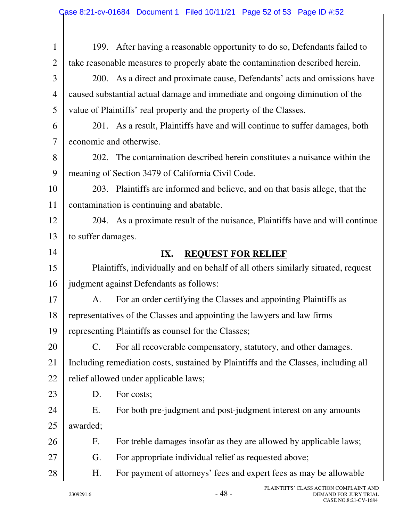| $\mathbf{1}$   |                    | 199. After having a reasonable opportunity to do so, Defendants failed to           |
|----------------|--------------------|-------------------------------------------------------------------------------------|
| $\overline{2}$ |                    | take reasonable measures to properly abate the contamination described herein.      |
| 3              |                    | 200. As a direct and proximate cause, Defendants' acts and omissions have           |
| $\overline{4}$ |                    | caused substantial actual damage and immediate and ongoing diminution of the        |
| 5              |                    | value of Plaintiffs' real property and the property of the Classes.                 |
| 6              |                    | 201. As a result, Plaintiffs have and will continue to suffer damages, both         |
| $\overline{7}$ |                    | economic and otherwise.                                                             |
| 8              |                    | 202. The contamination described herein constitutes a nuisance within the           |
| 9              |                    | meaning of Section 3479 of California Civil Code.                                   |
| 10             |                    | 203. Plaintiffs are informed and believe, and on that basis allege, that the        |
| 11             |                    | contamination is continuing and abatable.                                           |
| 12             |                    | 204. As a proximate result of the nuisance, Plaintiffs have and will continue       |
| 13             | to suffer damages. |                                                                                     |
| 14             |                    | <b>REQUEST FOR RELIEF</b><br>IX.                                                    |
| 15             |                    | Plaintiffs, individually and on behalf of all others similarly situated, request    |
| 16             |                    | judgment against Defendants as follows:                                             |
| 17             | A.                 | For an order certifying the Classes and appointing Plaintiffs as                    |
| 18             |                    | representatives of the Classes and appointing the lawyers and law firms             |
| 19             |                    | representing Plaintiffs as counsel for the Classes;                                 |
| 20             | C.                 | For all recoverable compensatory, statutory, and other damages.                     |
| 21             |                    | Including remediation costs, sustained by Plaintiffs and the Classes, including all |
| 22             |                    | relief allowed under applicable laws;                                               |
| 23             | D.                 | For costs;                                                                          |
| 24             | Ε.                 | For both pre-judgment and post-judgment interest on any amounts                     |
| $25\,$         | awarded;           |                                                                                     |
| 26             | F.                 | For treble damages insofar as they are allowed by applicable laws;                  |
| 27             | G.                 | For appropriate individual relief as requested above;                               |
| 28             | Η.                 | For payment of attorneys' fees and expert fees as may be allowable                  |
|                |                    | PLAINTIFFS' CLASS ACTION COMPLAINT AND                                              |